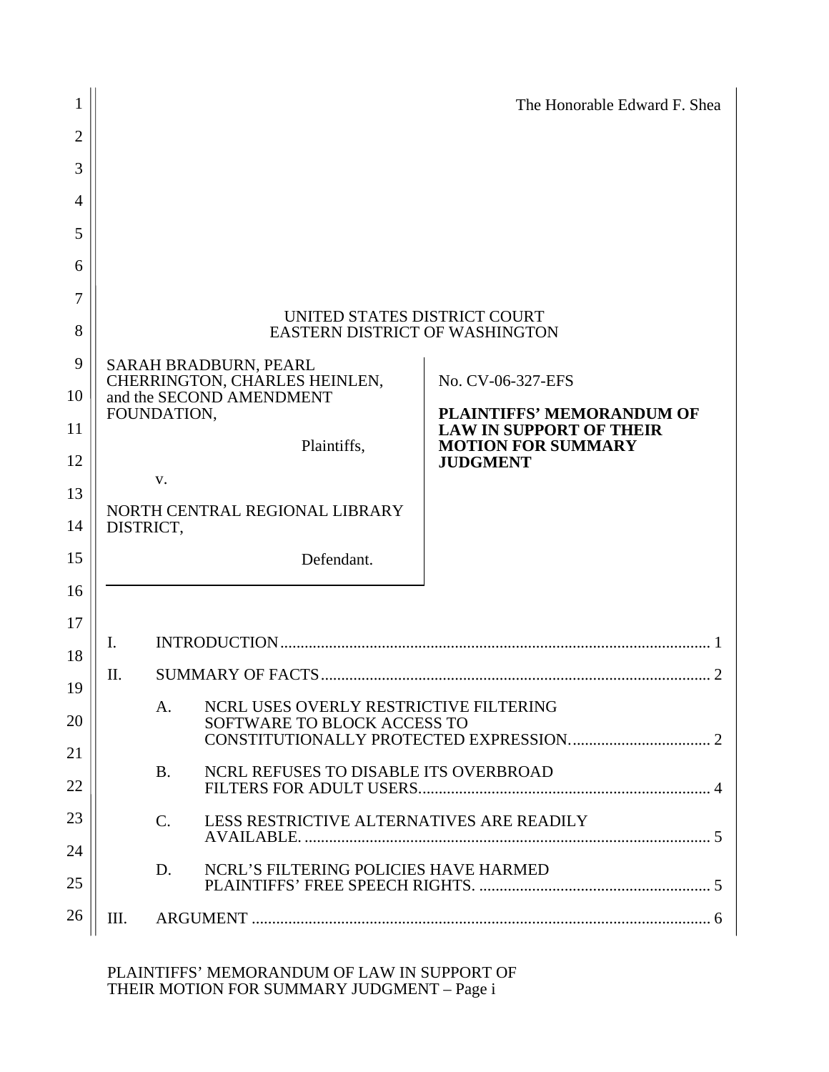| 1              |                                                                       |                                                                                         |                                                           | The Honorable Edward F. Shea                                                            |  |  |  |  |  |  |
|----------------|-----------------------------------------------------------------------|-----------------------------------------------------------------------------------------|-----------------------------------------------------------|-----------------------------------------------------------------------------------------|--|--|--|--|--|--|
| $\overline{2}$ |                                                                       |                                                                                         |                                                           |                                                                                         |  |  |  |  |  |  |
| 3              |                                                                       |                                                                                         |                                                           |                                                                                         |  |  |  |  |  |  |
| $\overline{4}$ |                                                                       |                                                                                         |                                                           |                                                                                         |  |  |  |  |  |  |
| 5              |                                                                       |                                                                                         |                                                           |                                                                                         |  |  |  |  |  |  |
| 6              |                                                                       |                                                                                         |                                                           |                                                                                         |  |  |  |  |  |  |
| 7<br>8         | UNITED STATES DISTRICT COURT<br><b>EASTERN DISTRICT OF WASHINGTON</b> |                                                                                         |                                                           |                                                                                         |  |  |  |  |  |  |
| 9              | SARAH BRADBURN, PEARL                                                 |                                                                                         |                                                           |                                                                                         |  |  |  |  |  |  |
| 10             |                                                                       |                                                                                         | CHERRINGTON, CHARLES HEINLEN,<br>and the SECOND AMENDMENT | No. CV-06-327-EFS<br><b>PLAINTIFFS' MEMORANDUM OF</b><br><b>LAW IN SUPPORT OF THEIR</b> |  |  |  |  |  |  |
| 11             |                                                                       | FOUNDATION,                                                                             |                                                           |                                                                                         |  |  |  |  |  |  |
| 12             |                                                                       |                                                                                         | Plaintiffs,                                               | <b>MOTION FOR SUMMARY</b><br><b>JUDGMENT</b>                                            |  |  |  |  |  |  |
| 13             |                                                                       | V.                                                                                      |                                                           |                                                                                         |  |  |  |  |  |  |
| 14             | NORTH CENTRAL REGIONAL LIBRARY<br>DISTRICT,                           |                                                                                         |                                                           |                                                                                         |  |  |  |  |  |  |
| 15             |                                                                       |                                                                                         | Defendant.                                                |                                                                                         |  |  |  |  |  |  |
| 16             |                                                                       |                                                                                         |                                                           |                                                                                         |  |  |  |  |  |  |
| 17<br>18       | Ι.                                                                    |                                                                                         |                                                           |                                                                                         |  |  |  |  |  |  |
| 19             | П.                                                                    |                                                                                         |                                                           |                                                                                         |  |  |  |  |  |  |
| 20             |                                                                       | NCRL USES OVERLY RESTRICTIVE FILTERING<br>A <sub>1</sub><br>SOFTWARE TO BLOCK ACCESS TO |                                                           |                                                                                         |  |  |  |  |  |  |
| 21<br>22       | NCRL REFUSES TO DISABLE ITS OVERBROAD<br><b>B.</b>                    |                                                                                         |                                                           |                                                                                         |  |  |  |  |  |  |
| 23             |                                                                       |                                                                                         |                                                           |                                                                                         |  |  |  |  |  |  |
| 24             | LESS RESTRICTIVE ALTERNATIVES ARE READILY<br>$\mathbf{C}$ .           |                                                                                         |                                                           |                                                                                         |  |  |  |  |  |  |
| 25             |                                                                       | D.                                                                                      | NCRL'S FILTERING POLICIES HAVE HARMED                     |                                                                                         |  |  |  |  |  |  |
| 26             | III.                                                                  |                                                                                         |                                                           |                                                                                         |  |  |  |  |  |  |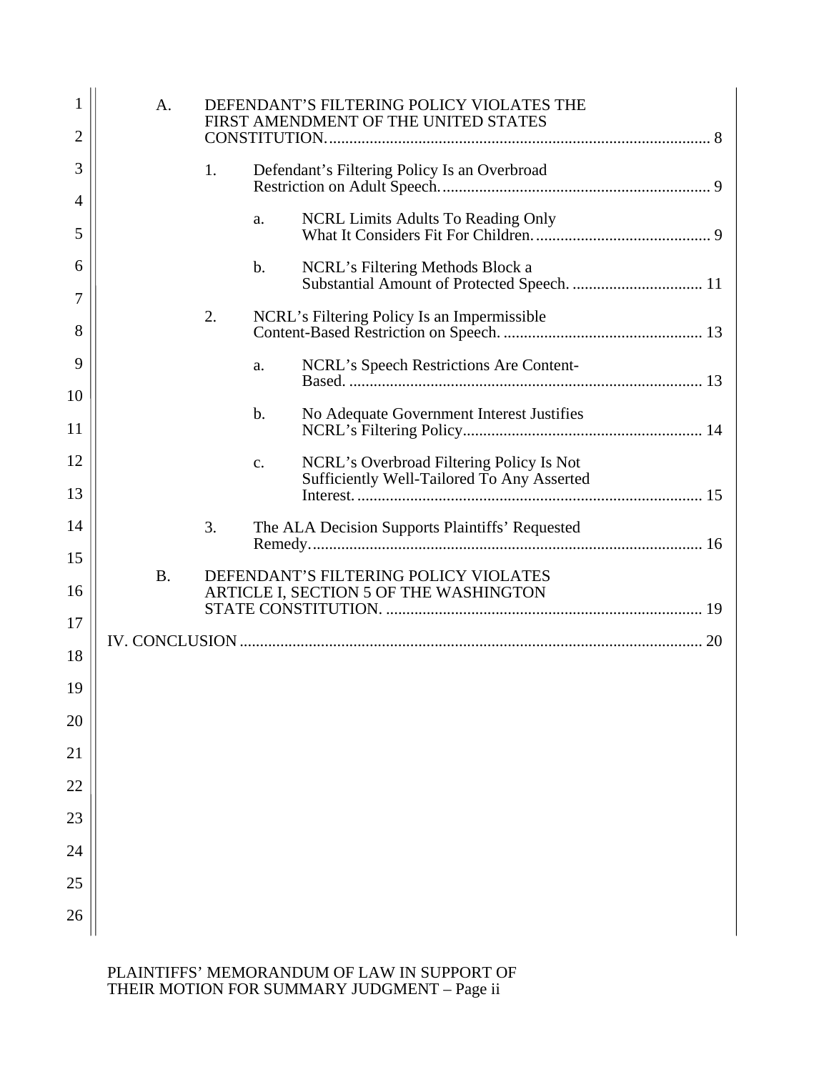| 1              | DEFENDANT'S FILTERING POLICY VIOLATES THE<br>A.<br>FIRST AMENDMENT OF THE UNITED STATES |                                                    |                 |                                                                                        |  |  |
|----------------|-----------------------------------------------------------------------------------------|----------------------------------------------------|-----------------|----------------------------------------------------------------------------------------|--|--|
| $\overline{2}$ |                                                                                         |                                                    |                 |                                                                                        |  |  |
| 3              |                                                                                         | 1.<br>Defendant's Filtering Policy Is an Overbroad |                 |                                                                                        |  |  |
| 4<br>5         |                                                                                         |                                                    | a.              | NCRL Limits Adults To Reading Only                                                     |  |  |
| 6              |                                                                                         |                                                    | $b$ .           | NCRL's Filtering Methods Block a                                                       |  |  |
| 7              |                                                                                         | 2.                                                 |                 | NCRL's Filtering Policy Is an Impermissible                                            |  |  |
| 8              |                                                                                         |                                                    |                 |                                                                                        |  |  |
| 9<br>10        |                                                                                         |                                                    | a.              |                                                                                        |  |  |
| 11             |                                                                                         |                                                    | $b$ .           | No Adequate Government Interest Justifies                                              |  |  |
| 12             |                                                                                         |                                                    | $\mathcal{C}$ . | NCRL's Overbroad Filtering Policy Is Not<br>Sufficiently Well-Tailored To Any Asserted |  |  |
| 13             |                                                                                         |                                                    |                 |                                                                                        |  |  |
| 14             |                                                                                         | 3.                                                 |                 | The ALA Decision Supports Plaintiffs' Requested                                        |  |  |
| 15             | DEFENDANT'S FILTERING POLICY VIOLATES                                                   |                                                    |                 |                                                                                        |  |  |
| 16             | <b>B.</b>                                                                               |                                                    |                 |                                                                                        |  |  |
| 17             |                                                                                         |                                                    |                 |                                                                                        |  |  |
| 18             |                                                                                         |                                                    |                 |                                                                                        |  |  |
| 19             |                                                                                         |                                                    |                 |                                                                                        |  |  |
| 20             |                                                                                         |                                                    |                 |                                                                                        |  |  |
| 21             |                                                                                         |                                                    |                 |                                                                                        |  |  |
| 22             |                                                                                         |                                                    |                 |                                                                                        |  |  |
| 23             |                                                                                         |                                                    |                 |                                                                                        |  |  |
| 24             |                                                                                         |                                                    |                 |                                                                                        |  |  |
| 25             |                                                                                         |                                                    |                 |                                                                                        |  |  |
| 26             |                                                                                         |                                                    |                 |                                                                                        |  |  |
|                |                                                                                         |                                                    |                 |                                                                                        |  |  |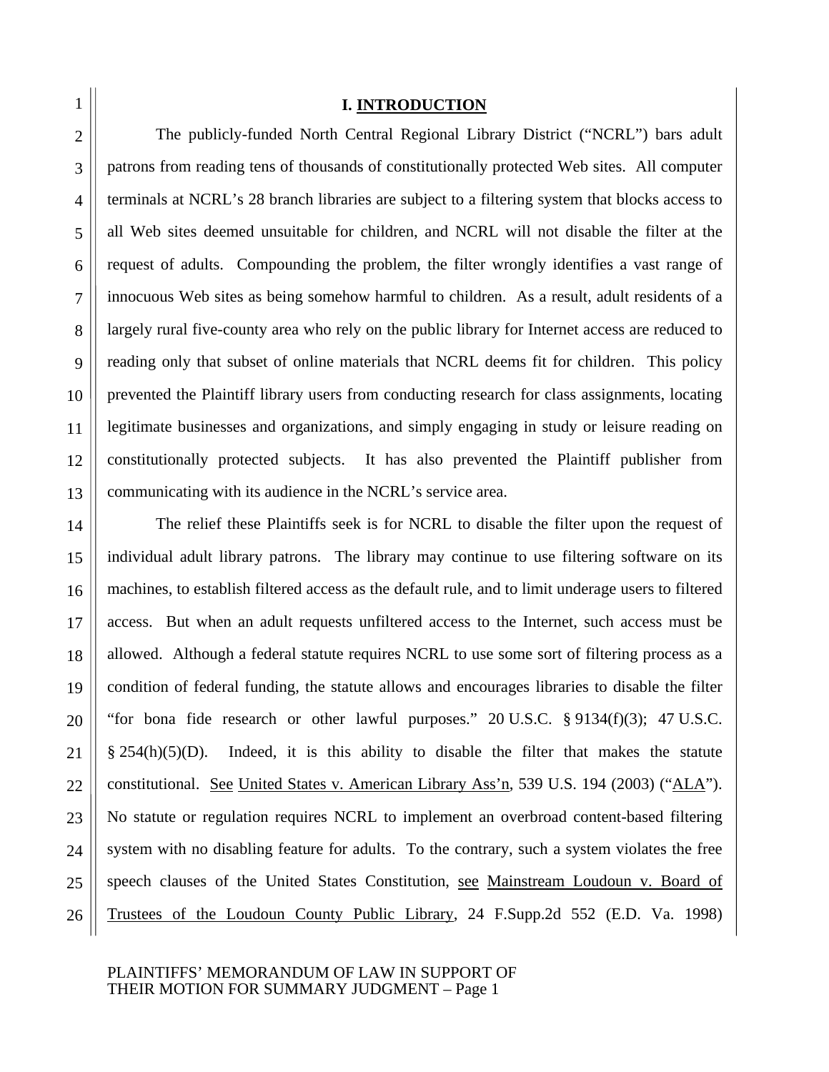26

#### **I. INTRODUCTION**

The publicly-funded North Central Regional Library District ("NCRL") bars adult patrons from reading tens of thousands of constitutionally protected Web sites. All computer terminals at NCRL's 28 branch libraries are subject to a filtering system that blocks access to all Web sites deemed unsuitable for children, and NCRL will not disable the filter at the request of adults. Compounding the problem, the filter wrongly identifies a vast range of innocuous Web sites as being somehow harmful to children. As a result, adult residents of a largely rural five-county area who rely on the public library for Internet access are reduced to reading only that subset of online materials that NCRL deems fit for children. This policy prevented the Plaintiff library users from conducting research for class assignments, locating legitimate businesses and organizations, and simply engaging in study or leisure reading on constitutionally protected subjects. It has also prevented the Plaintiff publisher from communicating with its audience in the NCRL's service area.

The relief these Plaintiffs seek is for NCRL to disable the filter upon the request of individual adult library patrons. The library may continue to use filtering software on its machines, to establish filtered access as the default rule, and to limit underage users to filtered access. But when an adult requests unfiltered access to the Internet, such access must be allowed. Although a federal statute requires NCRL to use some sort of filtering process as a condition of federal funding, the statute allows and encourages libraries to disable the filter "for bona fide research or other lawful purposes." 20 U.S.C. § 9134(f)(3); 47 U.S.C.  $§$  254(h)(5)(D). Indeed, it is this ability to disable the filter that makes the statute constitutional. See United States v. American Library Ass'n, 539 U.S. 194 (2003) ("ALA"). No statute or regulation requires NCRL to implement an overbroad content-based filtering system with no disabling feature for adults. To the contrary, such a system violates the free speech clauses of the United States Constitution, see Mainstream Loudoun v. Board of Trustees of the Loudoun County Public Library, 24 F.Supp.2d 552 (E.D. Va. 1998)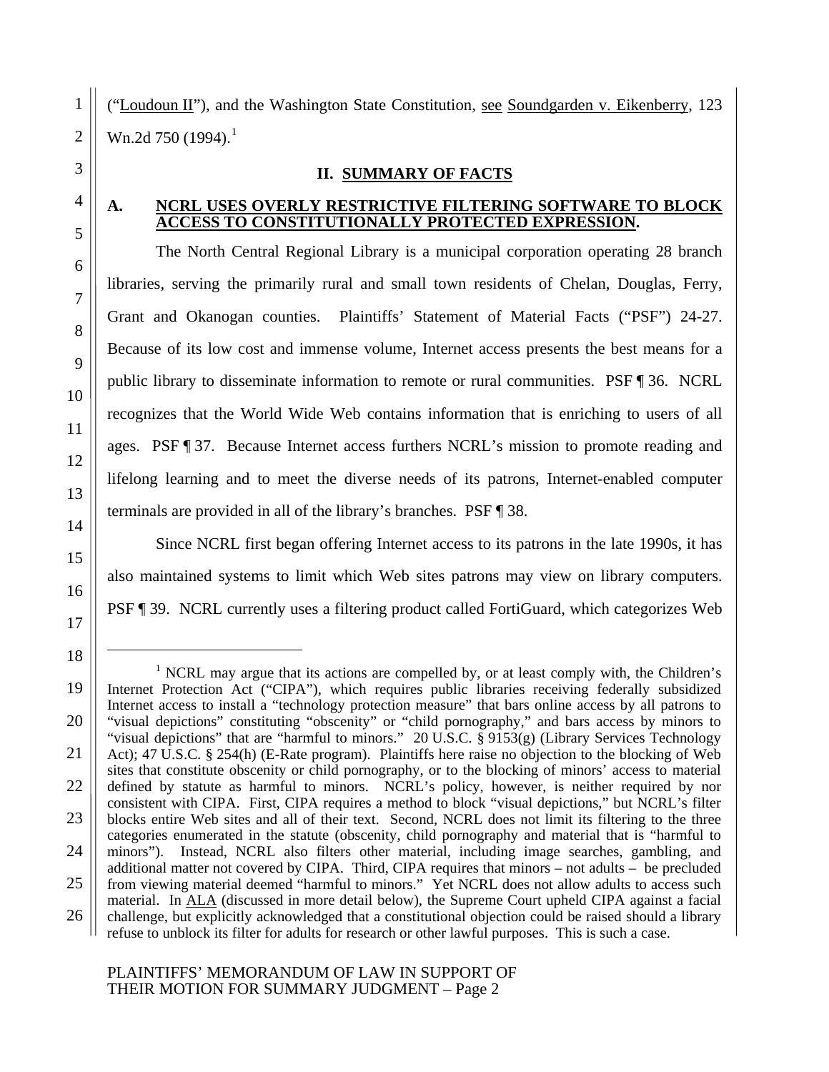$\overline{a}$ 

("Loudoun II"), and the Washington State Constitution, see Soundgarden v. Eikenberry, 123 Wn.2d 750 (1994).<sup>1</sup>

#### **II. SUMMARY OF FACTS**

### 4 **A. NCRL USES OVERLY RESTRICTIVE FILTERING SOFTWARE TO BLOCK ACCESS TO CONSTITUTIONALLY PROTECTED EXPRESSION.**

The North Central Regional Library is a municipal corporation operating 28 branch libraries, serving the primarily rural and small town residents of Chelan, Douglas, Ferry, Grant and Okanogan counties. Plaintiffs' Statement of Material Facts ("PSF") 24-27. Because of its low cost and immense volume, Internet access presents the best means for a public library to disseminate information to remote or rural communities. PSF ¶ 36. NCRL recognizes that the World Wide Web contains information that is enriching to users of all ages. PSF ¶ 37. Because Internet access furthers NCRL's mission to promote reading and lifelong learning and to meet the diverse needs of its patrons, Internet-enabled computer terminals are provided in all of the library's branches. PSF ¶ 38.

Since NCRL first began offering Internet access to its patrons in the late 1990s, it has also maintained systems to limit which Web sites patrons may view on library computers. PSF ¶ 39. NCRL currently uses a filtering product called FortiGuard, which categorizes Web

<sup>&</sup>lt;sup>1</sup> NCRL may argue that its actions are compelled by, or at least comply with, the Children's Internet Protection Act ("CIPA"), which requires public libraries receiving federally subsidized Internet access to install a "technology protection measure" that bars online access by all patrons to "visual depictions" constituting "obscenity" or "child pornography," and bars access by minors to "visual depictions" that are "harmful to minors." 20 U.S.C. § 9153(g) (Library Services Technology Act); 47 U.S.C. § 254(h) (E-Rate program). Plaintiffs here raise no objection to the blocking of Web sites that constitute obscenity or child pornography, or to the blocking of minors' access to material defined by statute as harmful to minors. NCRL's policy, however, is neither required by nor consistent with CIPA. First, CIPA requires a method to block "visual depictions," but NCRL's filter blocks entire Web sites and all of their text. Second, NCRL does not limit its filtering to the three categories enumerated in the statute (obscenity, child pornography and material that is "harmful to minors"). Instead, NCRL also filters other material, including image searches, gambling, and additional matter not covered by CIPA. Third, CIPA requires that minors – not adults – be precluded from viewing material deemed "harmful to minors." Yet NCRL does not allow adults to access such material. In **ALA** (discussed in more detail below), the Supreme Court upheld CIPA against a facial challenge, but explicitly acknowledged that a constitutional objection could be raised should a library refuse to unblock its filter for adults for research or other lawful purposes. This is such a case.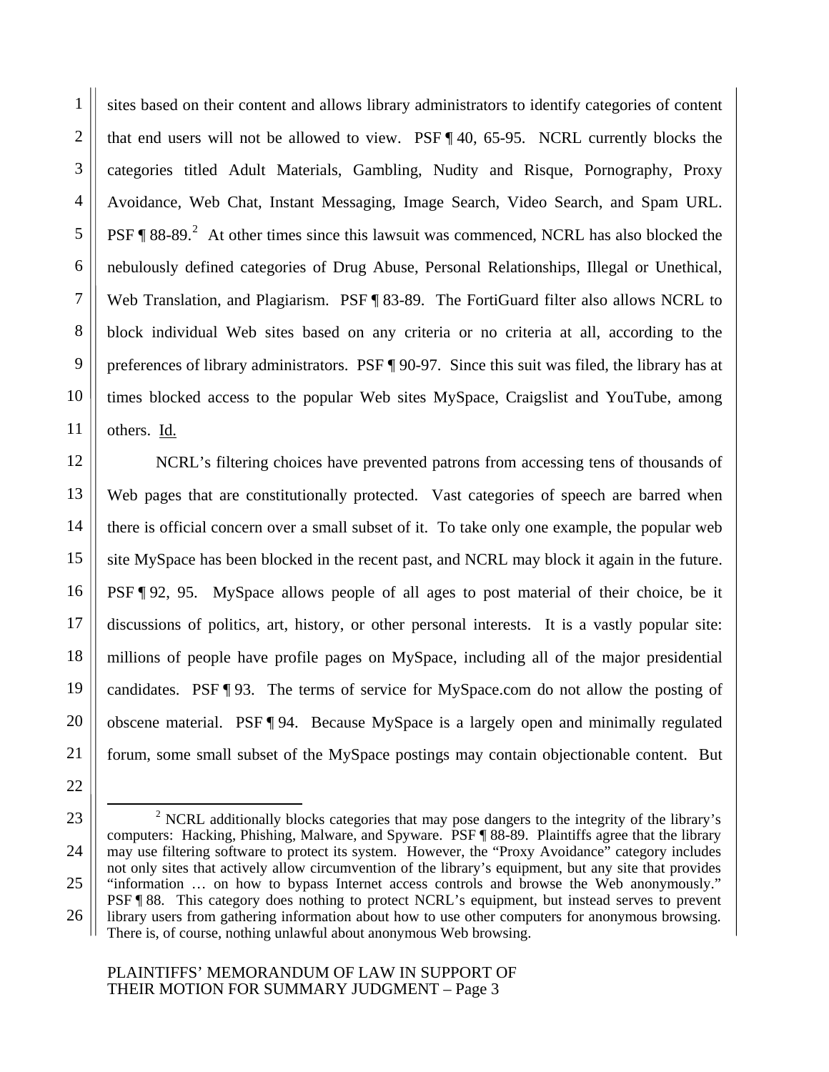sites based on their content and allows library administrators to identify categories of content that end users will not be allowed to view. PSF ¶ 40, 65-95. NCRL currently blocks the categories titled Adult Materials, Gambling, Nudity and Risque, Pornography, Proxy Avoidance, Web Chat, Instant Messaging, Image Search, Video Search, and Spam URL. PSF  $\P$  88-89.<sup>2</sup> At other times since this lawsuit was commenced, NCRL has also blocked the nebulously defined categories of Drug Abuse, Personal Relationships, Illegal or Unethical, Web Translation, and Plagiarism. PSF ¶ 83-89. The FortiGuard filter also allows NCRL to block individual Web sites based on any criteria or no criteria at all, according to the preferences of library administrators. PSF ¶ 90-97. Since this suit was filed, the library has at times blocked access to the popular Web sites MySpace, Craigslist and YouTube, among others. Id.

NCRL's filtering choices have prevented patrons from accessing tens of thousands of Web pages that are constitutionally protected. Vast categories of speech are barred when there is official concern over a small subset of it. To take only one example, the popular web site MySpace has been blocked in the recent past, and NCRL may block it again in the future. PSF ¶ 92, 95. MySpace allows people of all ages to post material of their choice, be it discussions of politics, art, history, or other personal interests. It is a vastly popular site: millions of people have profile pages on MySpace, including all of the major presidential candidates. PSF ¶ 93. The terms of service for MySpace.com do not allow the posting of obscene material. PSF ¶ 94. Because MySpace is a largely open and minimally regulated forum, some small subset of the MySpace postings may contain objectionable content. But

 $\overline{\phantom{a}}$  $\degree$  NCRL additionally blocks categories that may pose dangers to the integrity of the library's computers: Hacking, Phishing, Malware, and Spyware. PSF ¶ 88-89. Plaintiffs agree that the library may use filtering software to protect its system. However, the "Proxy Avoidance" category includes not only sites that actively allow circumvention of the library's equipment, but any site that provides "information … on how to bypass Internet access controls and browse the Web anonymously." PSF ¶ 88. This category does nothing to protect NCRL's equipment, but instead serves to prevent library users from gathering information about how to use other computers for anonymous browsing. There is, of course, nothing unlawful about anonymous Web browsing.

#### PLAINTIFFS' MEMORANDUM OF LAW IN SUPPORT OF THEIR MOTION FOR SUMMARY JUDGMENT – Page 3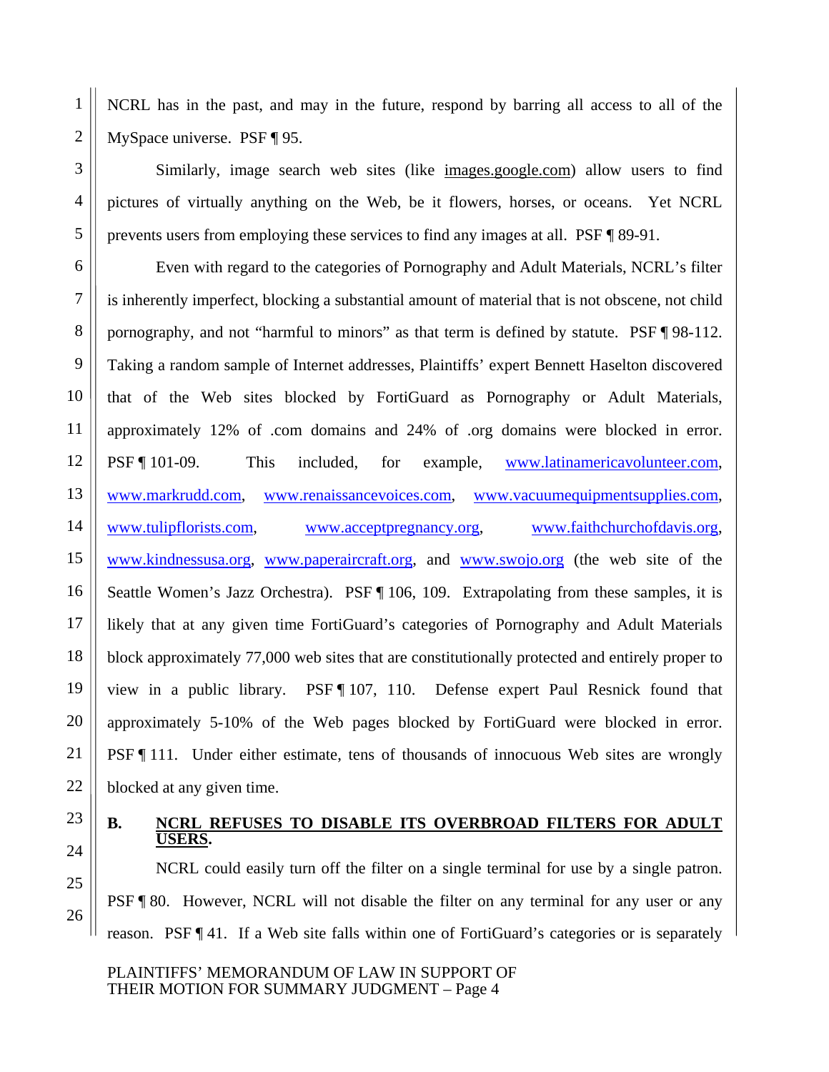NCRL has in the past, and may in the future, respond by barring all access to all of the MySpace universe. PSF ¶ 95.

Similarly, image search web sites (like images.google.com) allow users to find pictures of virtually anything on the Web, be it flowers, horses, or oceans. Yet NCRL prevents users from employing these services to find any images at all. PSF ¶ 89-91.

Even with regard to the categories of Pornography and Adult Materials, NCRL's filter is inherently imperfect, blocking a substantial amount of material that is not obscene, not child pornography, and not "harmful to minors" as that term is defined by statute. PSF ¶ 98-112. Taking a random sample of Internet addresses, Plaintiffs' expert Bennett Haselton discovered that of the Web sites blocked by FortiGuard as Pornography or Adult Materials, approximately 12% of .com domains and 24% of .org domains were blocked in error. PSF ¶ 101-09. This included, for example, www.latinamericavolunteer.com, www.markrudd.com, www.renaissancevoices.com, www.vacuumequipmentsupplies.com, www.tulipflorists.com, www.acceptpregnancy.org, www.faithchurchofdavis.org, www.kindnessusa.org, www.paperaircraft.org, and www.swojo.org (the web site of the Seattle Women's Jazz Orchestra). PSF [106, 109. Extrapolating from these samples, it is likely that at any given time FortiGuard's categories of Pornography and Adult Materials block approximately 77,000 web sites that are constitutionally protected and entirely proper to view in a public library. PSF ¶ 107, 110. Defense expert Paul Resnick found that approximately 5-10% of the Web pages blocked by FortiGuard were blocked in error. PSF ¶ 111. Under either estimate, tens of thousands of innocuous Web sites are wrongly blocked at any given time.

# **USERS.**

# 23 **B. NCRL REFUSES TO DISABLE ITS OVERBROAD FILTERS FOR ADULT**

NCRL could easily turn off the filter on a single terminal for use by a single patron. PSF ¶ 80. However, NCRL will not disable the filter on any terminal for any user or any reason. PSF ¶ 41. If a Web site falls within one of FortiGuard's categories or is separately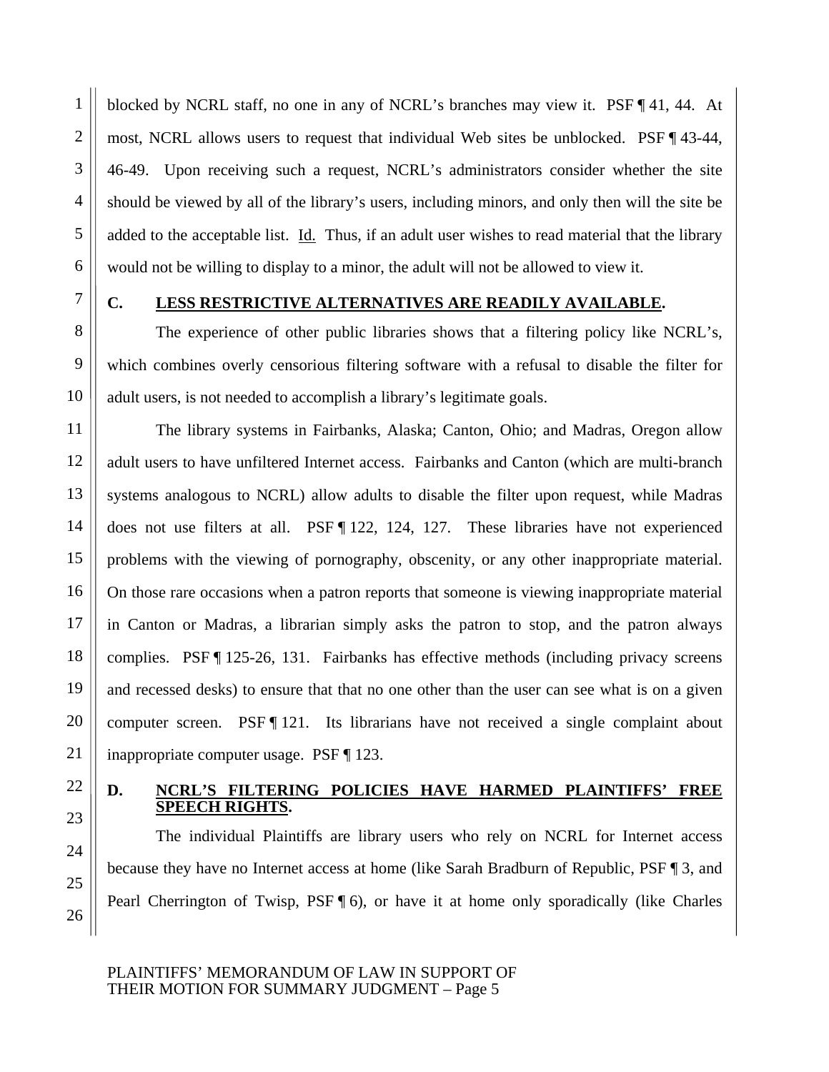blocked by NCRL staff, no one in any of NCRL's branches may view it. PSF ¶ 41, 44. At most, NCRL allows users to request that individual Web sites be unblocked. PSF ¶ 43-44, 46-49. Upon receiving such a request, NCRL's administrators consider whether the site should be viewed by all of the library's users, including minors, and only then will the site be added to the acceptable list.  $\underline{Id}$ . Thus, if an adult user wishes to read material that the library would not be willing to display to a minor, the adult will not be allowed to view it.

1

# 7 **C. LESS RESTRICTIVE ALTERNATIVES ARE READILY AVAILABLE.**

The experience of other public libraries shows that a filtering policy like NCRL's, which combines overly censorious filtering software with a refusal to disable the filter for adult users, is not needed to accomplish a library's legitimate goals.

The library systems in Fairbanks, Alaska; Canton, Ohio; and Madras, Oregon allow adult users to have unfiltered Internet access. Fairbanks and Canton (which are multi-branch systems analogous to NCRL) allow adults to disable the filter upon request, while Madras does not use filters at all. PSF ¶ 122, 124, 127. These libraries have not experienced problems with the viewing of pornography, obscenity, or any other inappropriate material. On those rare occasions when a patron reports that someone is viewing inappropriate material in Canton or Madras, a librarian simply asks the patron to stop, and the patron always complies. PSF ¶ 125-26, 131. Fairbanks has effective methods (including privacy screens and recessed desks) to ensure that that no one other than the user can see what is on a given computer screen. PSF [121. Its librarians have not received a single complaint about inappropriate computer usage. PSF ¶ 123.

## 22 **D. NCRL'S FILTERING POLICIES HAVE HARMED PLAINTIFFS' FREE SPEECH RIGHTS.**

The individual Plaintiffs are library users who rely on NCRL for Internet access because they have no Internet access at home (like Sarah Bradburn of Republic, PSF ¶ 3, and Pearl Cherrington of Twisp, PSF [6], or have it at home only sporadically (like Charles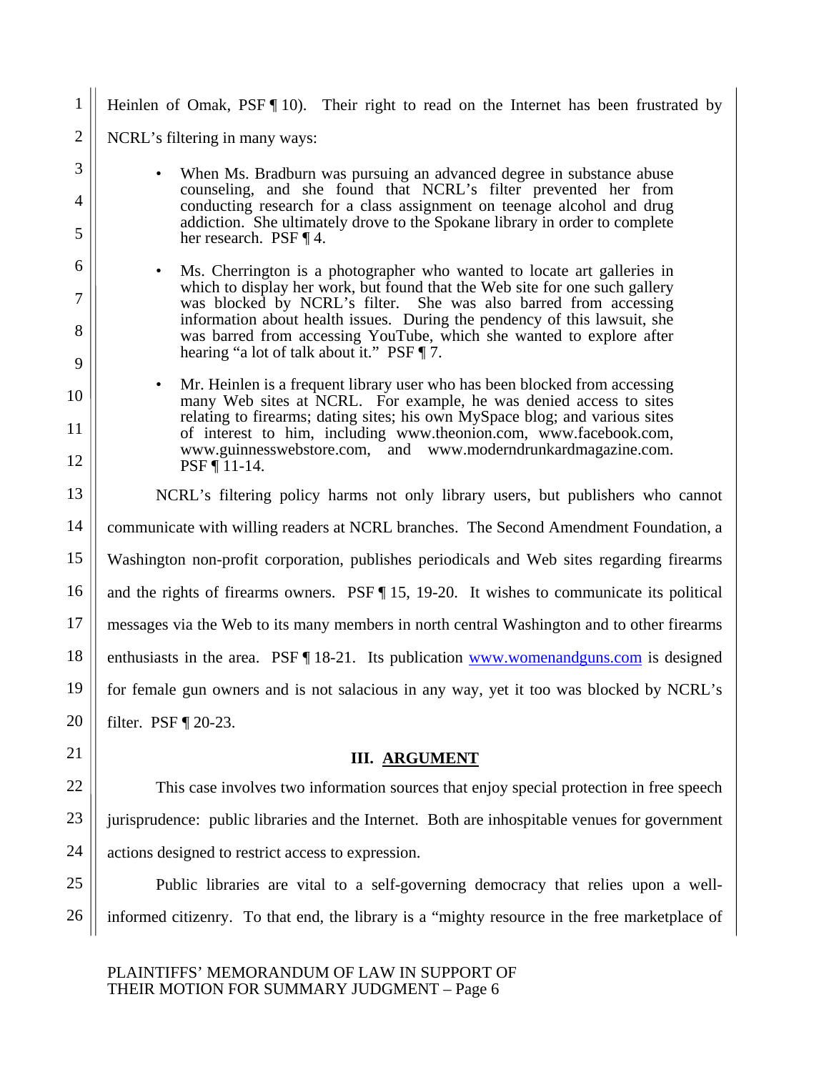1 2 3 4 5 6 7 8 9 10 11 12 13 14 15 16 17 18 19 20 21 22 23 24 Heinlen of Omak, PSF [10]. Their right to read on the Internet has been frustrated by NCRL's filtering in many ways: When Ms. Bradburn was pursuing an advanced degree in substance abuse counseling, and she found that NCRL's filter prevented her from conducting research for a class assignment on teenage alcohol and drug addiction. She ultimately drove to the Spokane library in order to complete her research. PSF ¶ 4. • Ms. Cherrington is a photographer who wanted to locate art galleries in which to display her work, but found that the Web site for one such gallery was blocked by NCRL's filter. She was also barred from accessing information about health issues. During the pendency of this lawsuit, she was barred from accessing YouTube, which she wanted to explore after hearing "a lot of talk about it." PSF  $\P$  7. • Mr. Heinlen is a frequent library user who has been blocked from accessing many Web sites at NCRL. For example, he was denied access to sites relating to firearms; dating sites; his own MySpace blog; and various sites of interest to him, including www.theonion.com, www.facebook.com, www.guinnesswebstore.com, and www.moderndrunkardmagazine.com. PSF ¶ 11-14. NCRL's filtering policy harms not only library users, but publishers who cannot communicate with willing readers at NCRL branches. The Second Amendment Foundation, a Washington non-profit corporation, publishes periodicals and Web sites regarding firearms and the rights of firearms owners. PSF ¶ 15, 19-20. It wishes to communicate its political messages via the Web to its many members in north central Washington and to other firearms enthusiasts in the area. PSF [18-21. Its publication www.womenandguns.com is designed for female gun owners and is not salacious in any way, yet it too was blocked by NCRL's filter. PSF ¶ 20-23. **III. ARGUMENT** This case involves two information sources that enjoy special protection in free speech jurisprudence: public libraries and the Internet. Both are inhospitable venues for government actions designed to restrict access to expression.

Public libraries are vital to a self-governing democracy that relies upon a wellinformed citizenry. To that end, the library is a "mighty resource in the free marketplace of

PLAINTIFFS' MEMORANDUM OF LAW IN SUPPORT OF THEIR MOTION FOR SUMMARY JUDGMENT – Page 6

25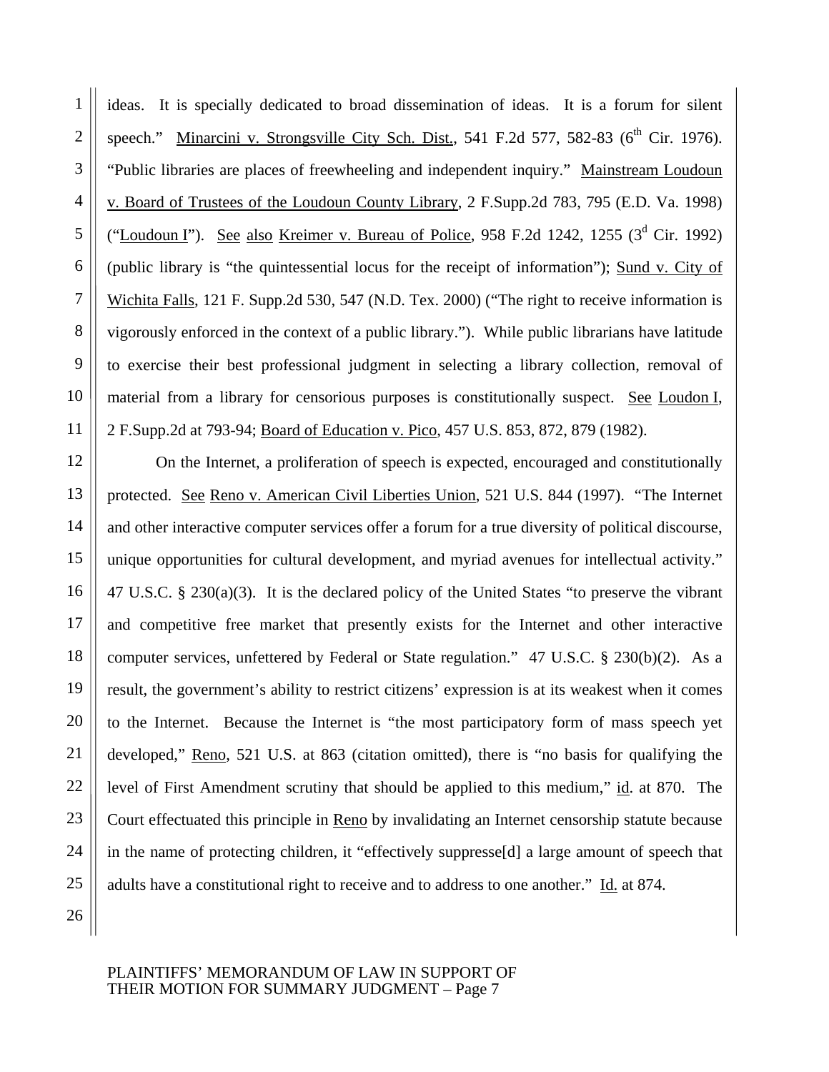ideas. It is specially dedicated to broad dissemination of ideas. It is a forum for silent speech." Minarcini v. Strongsville City Sch. Dist., 541 F.2d 577, 582-83 ( $6<sup>th</sup>$  Cir. 1976). "Public libraries are places of freewheeling and independent inquiry." Mainstream Loudoun v. Board of Trustees of the Loudoun County Library, 2 F.Supp.2d 783, 795 (E.D. Va. 1998) ("Loudoun I"). See also Kreimer v. Bureau of Police, 958 F.2d 1242, 1255 ( $3<sup>d</sup>$  Cir. 1992) (public library is "the quintessential locus for the receipt of information"); Sund v. City of Wichita Falls, 121 F. Supp.2d 530, 547 (N.D. Tex. 2000) ("The right to receive information is vigorously enforced in the context of a public library."). While public librarians have latitude to exercise their best professional judgment in selecting a library collection, removal of material from a library for censorious purposes is constitutionally suspect. See Loudon I, 2 F.Supp.2d at 793-94; Board of Education v. Pico, 457 U.S. 853, 872, 879 (1982).

On the Internet, a proliferation of speech is expected, encouraged and constitutionally protected. See Reno v. American Civil Liberties Union, 521 U.S. 844 (1997). "The Internet and other interactive computer services offer a forum for a true diversity of political discourse, unique opportunities for cultural development, and myriad avenues for intellectual activity." 47 U.S.C. § 230(a)(3). It is the declared policy of the United States "to preserve the vibrant and competitive free market that presently exists for the Internet and other interactive computer services, unfettered by Federal or State regulation." 47 U.S.C. § 230(b)(2). As a result, the government's ability to restrict citizens' expression is at its weakest when it comes to the Internet. Because the Internet is "the most participatory form of mass speech yet developed," Reno, 521 U.S. at 863 (citation omitted), there is "no basis for qualifying the level of First Amendment scrutiny that should be applied to this medium," id. at 870. The Court effectuated this principle in Reno by invalidating an Internet censorship statute because in the name of protecting children, it "effectively suppresse[d] a large amount of speech that adults have a constitutional right to receive and to address to one another." Id. at 874.

24 25 26

1

2

3

4

5

6

7

8

9

10

11

12

13

14

15

16

17

18

19

20

21

22

23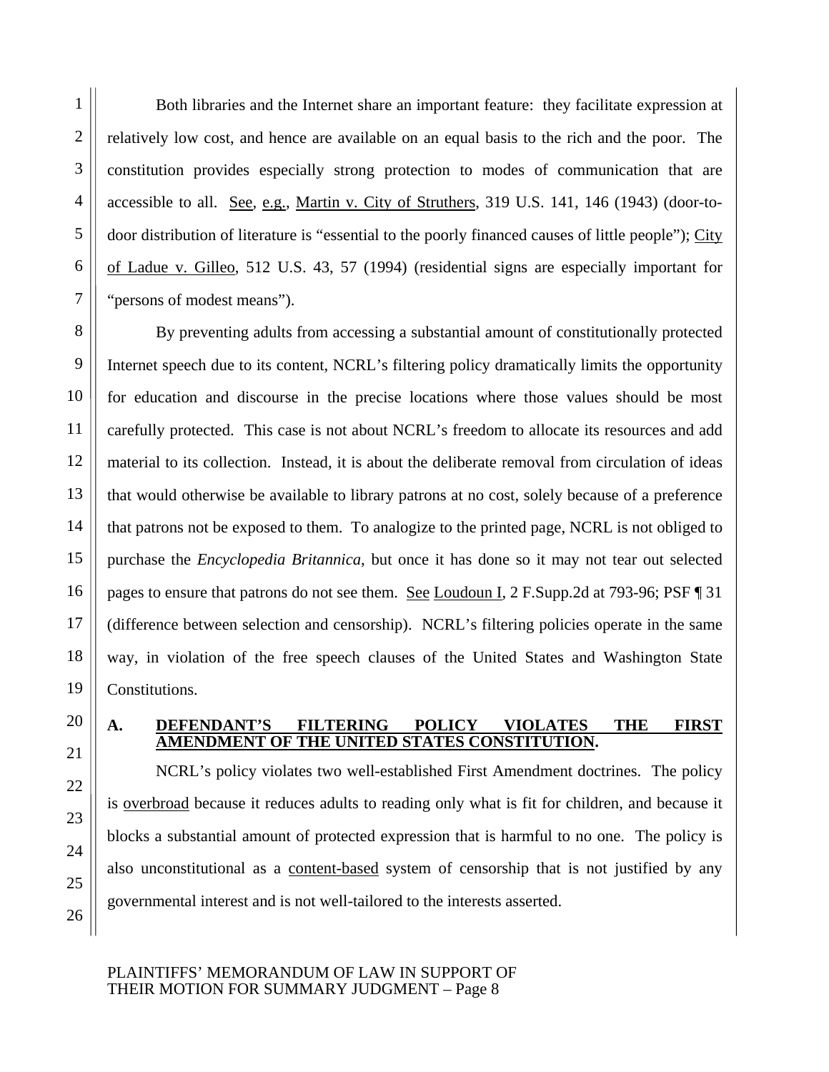1

Both libraries and the Internet share an important feature: they facilitate expression at relatively low cost, and hence are available on an equal basis to the rich and the poor. The constitution provides especially strong protection to modes of communication that are accessible to all. See, e.g., Martin v. City of Struthers, 319 U.S. 141, 146 (1943) (door-todoor distribution of literature is "essential to the poorly financed causes of little people"); City of Ladue v. Gilleo, 512 U.S. 43, 57 (1994) (residential signs are especially important for "persons of modest means").

By preventing adults from accessing a substantial amount of constitutionally protected Internet speech due to its content, NCRL's filtering policy dramatically limits the opportunity for education and discourse in the precise locations where those values should be most carefully protected. This case is not about NCRL's freedom to allocate its resources and add material to its collection. Instead, it is about the deliberate removal from circulation of ideas that would otherwise be available to library patrons at no cost, solely because of a preference that patrons not be exposed to them. To analogize to the printed page, NCRL is not obliged to purchase the *Encyclopedia Britannica*, but once it has done so it may not tear out selected pages to ensure that patrons do not see them. See Loudoun I, 2 F.Supp.2d at 793-96; PSF ¶ 31 (difference between selection and censorship). NCRL's filtering policies operate in the same way, in violation of the free speech clauses of the United States and Washington State Constitutions.

# 20 **A. DEFENDANT'S FILTERING POLICY VIOLATES THE FIRST AMENDMENT OF THE UNITED STATES CONSTITUTION.**

NCRL's policy violates two well-established First Amendment doctrines. The policy is overbroad because it reduces adults to reading only what is fit for children, and because it blocks a substantial amount of protected expression that is harmful to no one. The policy is also unconstitutional as a content-based system of censorship that is not justified by any governmental interest and is not well-tailored to the interests asserted.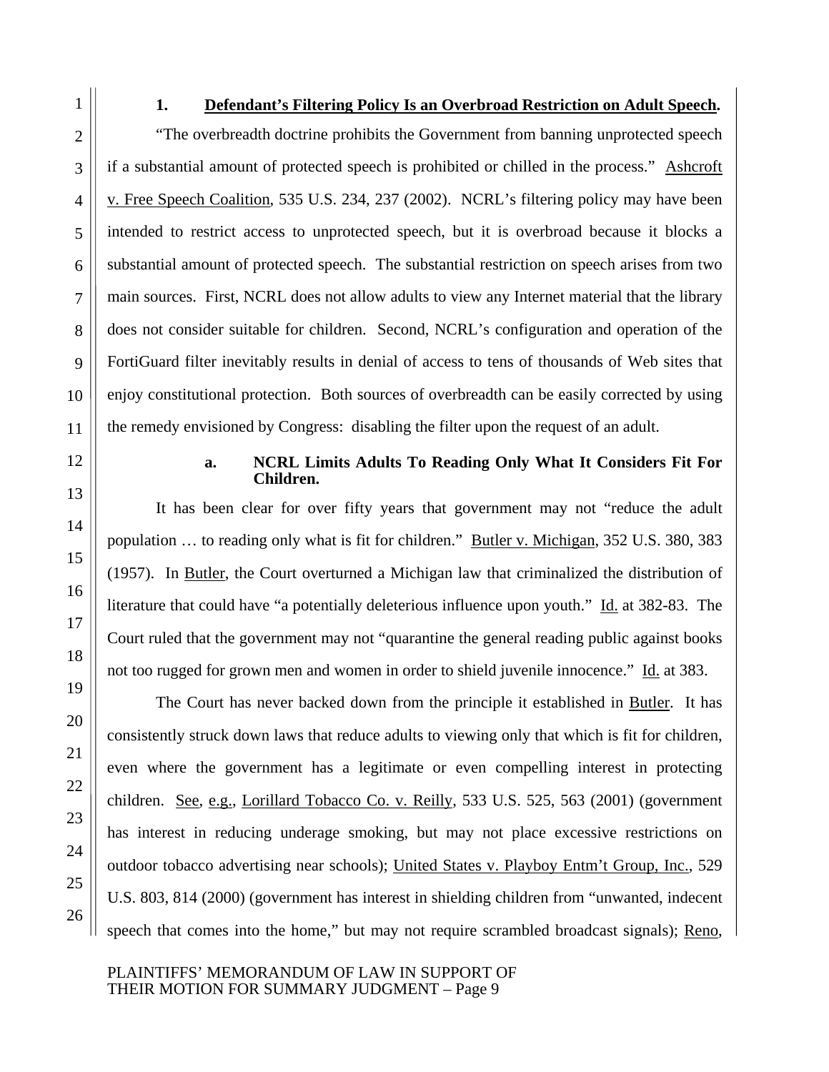1

2

3

4

5

6

7

8

9

10

11

12

13

14

15

16

17

18

19

20

21

22

23

24

25

26

#### **1. Defendant's Filtering Policy Is an Overbroad Restriction on Adult Speech.**

"The overbreadth doctrine prohibits the Government from banning unprotected speech if a substantial amount of protected speech is prohibited or chilled in the process." Ashcroft v. Free Speech Coalition, 535 U.S. 234, 237 (2002). NCRL's filtering policy may have been intended to restrict access to unprotected speech, but it is overbroad because it blocks a substantial amount of protected speech. The substantial restriction on speech arises from two main sources. First, NCRL does not allow adults to view any Internet material that the library does not consider suitable for children. Second, NCRL's configuration and operation of the FortiGuard filter inevitably results in denial of access to tens of thousands of Web sites that enjoy constitutional protection. Both sources of overbreadth can be easily corrected by using the remedy envisioned by Congress: disabling the filter upon the request of an adult.

#### **a. NCRL Limits Adults To Reading Only What It Considers Fit For Children.**

It has been clear for over fifty years that government may not "reduce the adult population … to reading only what is fit for children." Butler v. Michigan, 352 U.S. 380, 383 (1957). In Butler, the Court overturned a Michigan law that criminalized the distribution of literature that could have "a potentially deleterious influence upon youth." Id. at 382-83. The Court ruled that the government may not "quarantine the general reading public against books not too rugged for grown men and women in order to shield juvenile innocence." Id. at 383.

The Court has never backed down from the principle it established in Butler. It has consistently struck down laws that reduce adults to viewing only that which is fit for children, even where the government has a legitimate or even compelling interest in protecting children. See, e.g., Lorillard Tobacco Co. v. Reilly, 533 U.S. 525, 563 (2001) (government has interest in reducing underage smoking, but may not place excessive restrictions on outdoor tobacco advertising near schools); United States v. Playboy Entm't Group, Inc., 529 U.S. 803, 814 (2000) (government has interest in shielding children from "unwanted, indecent speech that comes into the home," but may not require scrambled broadcast signals); Reno,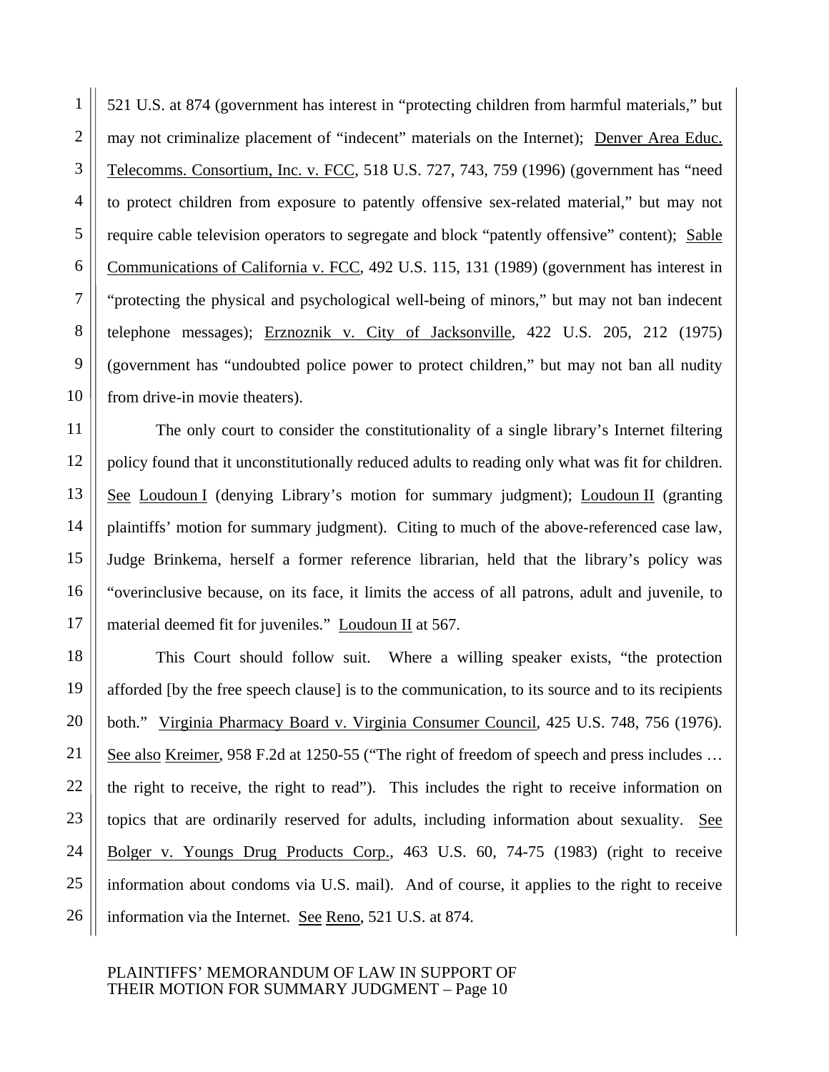521 U.S. at 874 (government has interest in "protecting children from harmful materials," but may not criminalize placement of "indecent" materials on the Internet); Denver Area Educ. Telecomms. Consortium, Inc. v. FCC, 518 U.S. 727, 743, 759 (1996) (government has "need to protect children from exposure to patently offensive sex-related material," but may not require cable television operators to segregate and block "patently offensive" content); Sable Communications of California v. FCC, 492 U.S. 115, 131 (1989) (government has interest in "protecting the physical and psychological well-being of minors," but may not ban indecent telephone messages); Erznoznik v. City of Jacksonville, 422 U.S. 205, 212 (1975) (government has "undoubted police power to protect children," but may not ban all nudity from drive-in movie theaters).

The only court to consider the constitutionality of a single library's Internet filtering policy found that it unconstitutionally reduced adults to reading only what was fit for children. See Loudoun I (denying Library's motion for summary judgment); Loudoun II (granting plaintiffs' motion for summary judgment). Citing to much of the above-referenced case law, Judge Brinkema, herself a former reference librarian, held that the library's policy was "overinclusive because, on its face, it limits the access of all patrons, adult and juvenile, to material deemed fit for juveniles." Loudoun II at 567.

This Court should follow suit. Where a willing speaker exists, "the protection afforded [by the free speech clause] is to the communication, to its source and to its recipients both." Virginia Pharmacy Board v. Virginia Consumer Council, 425 U.S. 748, 756 (1976). See also Kreimer, 958 F.2d at 1250-55 ("The right of freedom of speech and press includes … the right to receive, the right to read"). This includes the right to receive information on topics that are ordinarily reserved for adults, including information about sexuality. See Bolger v. Youngs Drug Products Corp., 463 U.S. 60, 74-75 (1983) (right to receive information about condoms via U.S. mail). And of course, it applies to the right to receive information via the Internet. See Reno, 521 U.S. at 874.

#### PLAINTIFFS' MEMORANDUM OF LAW IN SUPPORT OF THEIR MOTION FOR SUMMARY JUDGMENT – Page 10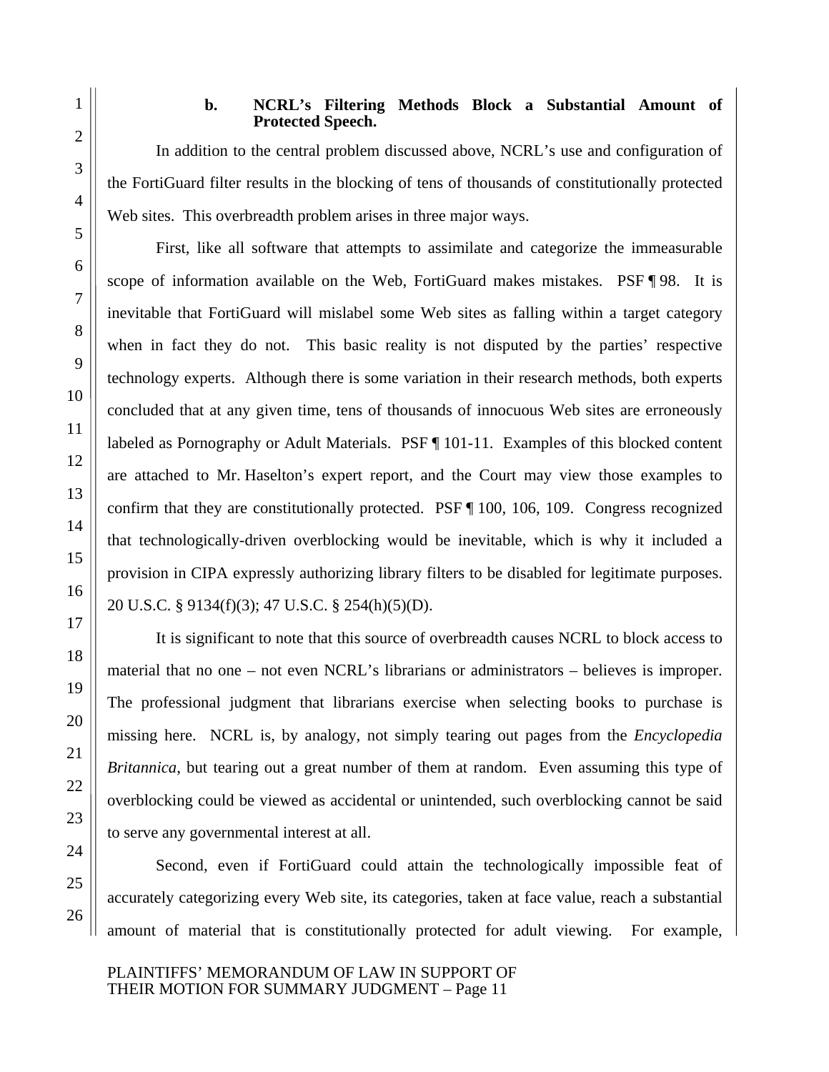#### **b. NCRL's Filtering Methods Block a Substantial Amount of Protected Speech.**

In addition to the central problem discussed above, NCRL's use and configuration of the FortiGuard filter results in the blocking of tens of thousands of constitutionally protected Web sites. This overbreadth problem arises in three major ways.

First, like all software that attempts to assimilate and categorize the immeasurable scope of information available on the Web, FortiGuard makes mistakes. PSF ¶ 98. It is inevitable that FortiGuard will mislabel some Web sites as falling within a target category when in fact they do not. This basic reality is not disputed by the parties' respective technology experts. Although there is some variation in their research methods, both experts concluded that at any given time, tens of thousands of innocuous Web sites are erroneously labeled as Pornography or Adult Materials. PSF ¶ 101-11. Examples of this blocked content are attached to Mr. Haselton's expert report, and the Court may view those examples to confirm that they are constitutionally protected. PSF ¶ 100, 106, 109. Congress recognized that technologically-driven overblocking would be inevitable, which is why it included a provision in CIPA expressly authorizing library filters to be disabled for legitimate purposes. 20 U.S.C. § 9134(f)(3); 47 U.S.C. § 254(h)(5)(D).

It is significant to note that this source of overbreadth causes NCRL to block access to material that no one – not even NCRL's librarians or administrators – believes is improper. The professional judgment that librarians exercise when selecting books to purchase is missing here. NCRL is, by analogy, not simply tearing out pages from the *Encyclopedia Britannica*, but tearing out a great number of them at random. Even assuming this type of overblocking could be viewed as accidental or unintended, such overblocking cannot be said to serve any governmental interest at all.

Second, even if FortiGuard could attain the technologically impossible feat of accurately categorizing every Web site, its categories, taken at face value, reach a substantial amount of material that is constitutionally protected for adult viewing. For example,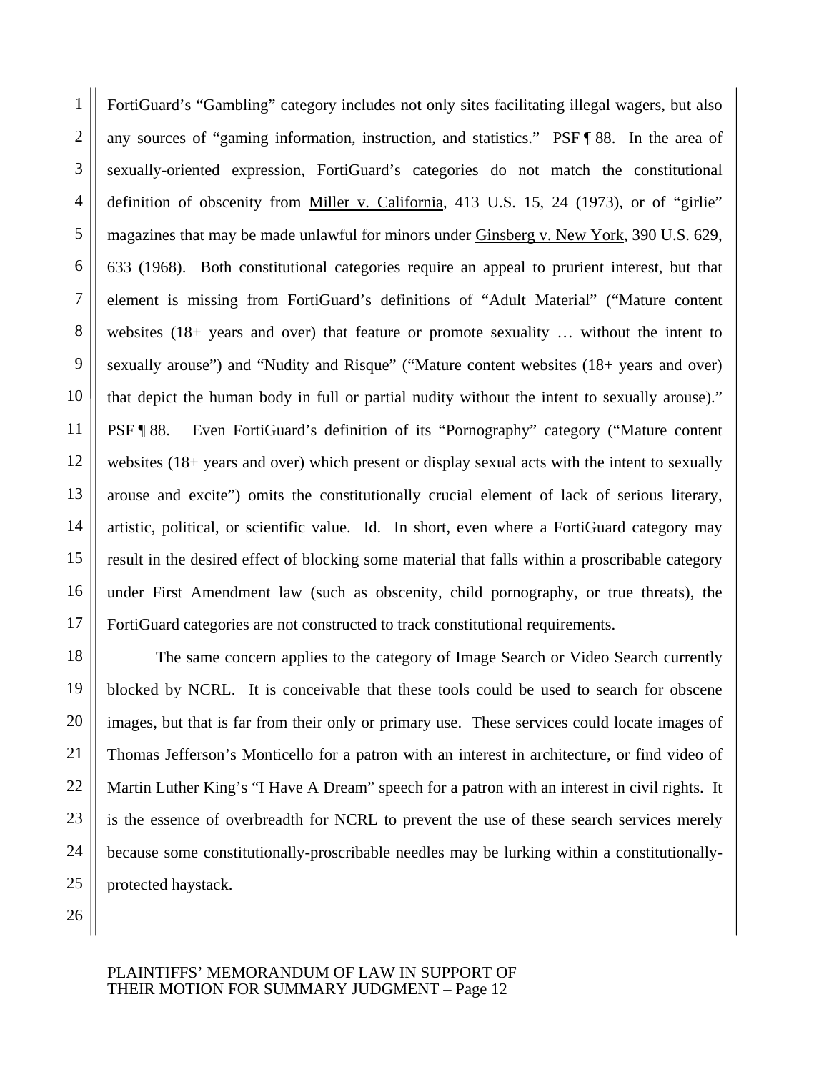14 16 FortiGuard's "Gambling" category includes not only sites facilitating illegal wagers, but also any sources of "gaming information, instruction, and statistics." PSF ¶ 88. In the area of sexually-oriented expression, FortiGuard's categories do not match the constitutional definition of obscenity from Miller v. California, 413 U.S. 15, 24 (1973), or of "girlie" magazines that may be made unlawful for minors under Ginsberg v. New York, 390 U.S. 629, 633 (1968). Both constitutional categories require an appeal to prurient interest, but that element is missing from FortiGuard's definitions of "Adult Material" ("Mature content websites (18+ years and over) that feature or promote sexuality … without the intent to sexually arouse") and "Nudity and Risque" ("Mature content websites (18+ years and over) that depict the human body in full or partial nudity without the intent to sexually arouse)." PSF ¶ 88. Even FortiGuard's definition of its "Pornography" category ("Mature content websites (18+ years and over) which present or display sexual acts with the intent to sexually arouse and excite") omits the constitutionally crucial element of lack of serious literary, artistic, political, or scientific value. Id. In short, even where a FortiGuard category may result in the desired effect of blocking some material that falls within a proscribable category under First Amendment law (such as obscenity, child pornography, or true threats), the FortiGuard categories are not constructed to track constitutional requirements.

The same concern applies to the category of Image Search or Video Search currently blocked by NCRL. It is conceivable that these tools could be used to search for obscene images, but that is far from their only or primary use. These services could locate images of Thomas Jefferson's Monticello for a patron with an interest in architecture, or find video of Martin Luther King's "I Have A Dream" speech for a patron with an interest in civil rights. It is the essence of overbreadth for NCRL to prevent the use of these search services merely because some constitutionally-proscribable needles may be lurking within a constitutionallyprotected haystack.

25 26

1

2

3

4

5

6

7

8

9

10

11

12

13

15

17

18

19

20

21

22

23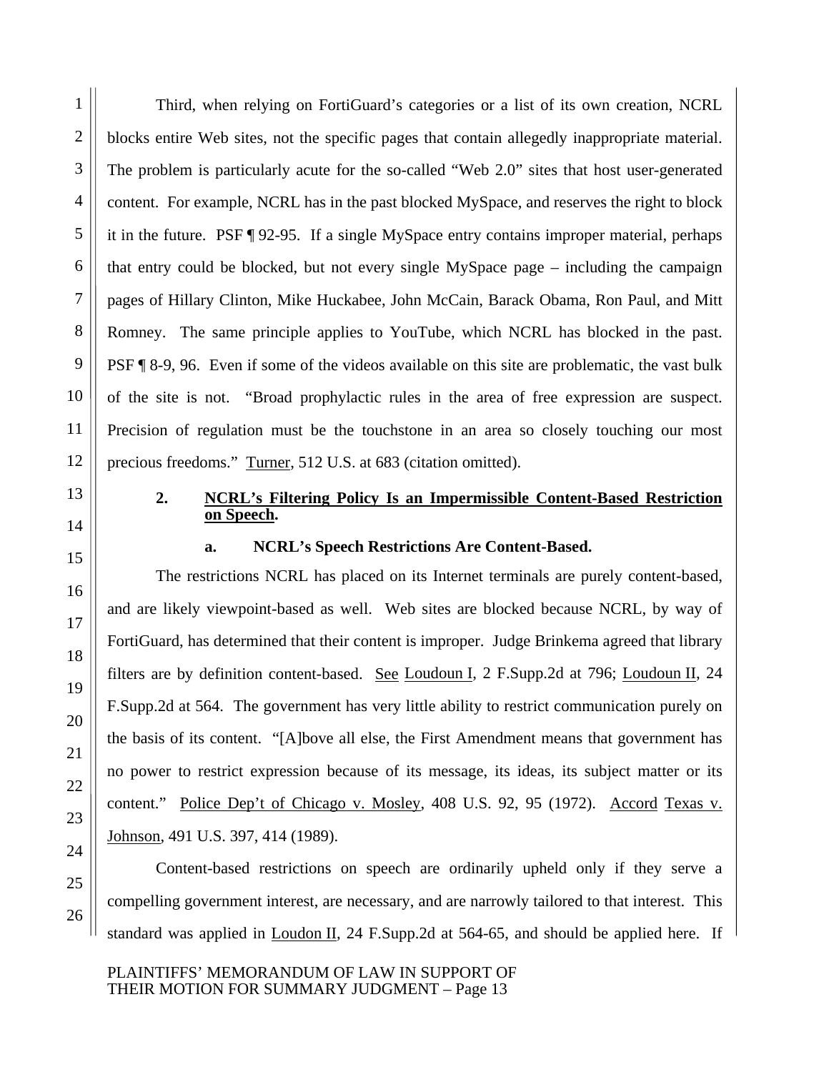Third, when relying on FortiGuard's categories or a list of its own creation, NCRL blocks entire Web sites, not the specific pages that contain allegedly inappropriate material. The problem is particularly acute for the so-called "Web 2.0" sites that host user-generated content. For example, NCRL has in the past blocked MySpace, and reserves the right to block it in the future. PSF ¶ 92-95. If a single MySpace entry contains improper material, perhaps that entry could be blocked, but not every single MySpace page – including the campaign pages of Hillary Clinton, Mike Huckabee, John McCain, Barack Obama, Ron Paul, and Mitt Romney. The same principle applies to YouTube, which NCRL has blocked in the past. PSF ¶ 8-9, 96. Even if some of the videos available on this site are problematic, the vast bulk of the site is not. "Broad prophylactic rules in the area of free expression are suspect. Precision of regulation must be the touchstone in an area so closely touching our most precious freedoms." Turner, 512 U.S. at 683 (citation omitted).

#### **2. NCRL's Filtering Policy Is an Impermissible Content-Based Restriction on Speech.**

### **a. NCRL's Speech Restrictions Are Content-Based.**

The restrictions NCRL has placed on its Internet terminals are purely content-based, and are likely viewpoint-based as well. Web sites are blocked because NCRL, by way of FortiGuard, has determined that their content is improper. Judge Brinkema agreed that library filters are by definition content-based. See Loudoun I, 2 F.Supp.2d at 796; Loudoun II, 24 F.Supp.2d at 564. The government has very little ability to restrict communication purely on the basis of its content. "[A]bove all else, the First Amendment means that government has no power to restrict expression because of its message, its ideas, its subject matter or its content." Police Dep't of Chicago v. Mosley, 408 U.S. 92, 95 (1972). Accord Texas v. Johnson, 491 U.S. 397, 414 (1989).

Content-based restrictions on speech are ordinarily upheld only if they serve a compelling government interest, are necessary, and are narrowly tailored to that interest. This standard was applied in Loudon II, 24 F.Supp.2d at 564-65, and should be applied here. If

PLAINTIFFS' MEMORANDUM OF LAW IN SUPPORT OF THEIR MOTION FOR SUMMARY JUDGMENT – Page 13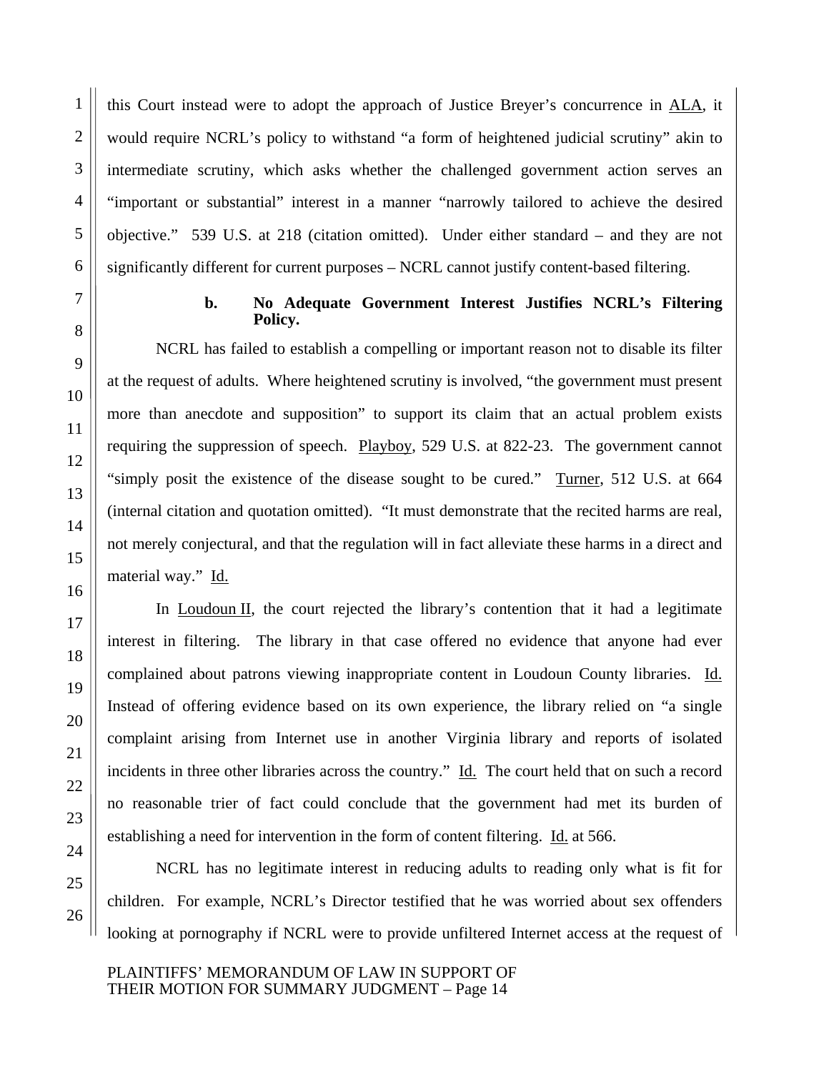this Court instead were to adopt the approach of Justice Breyer's concurrence in ALA, it would require NCRL's policy to withstand "a form of heightened judicial scrutiny" akin to intermediate scrutiny, which asks whether the challenged government action serves an "important or substantial" interest in a manner "narrowly tailored to achieve the desired objective." 539 U.S. at 218 (citation omitted). Under either standard – and they are not significantly different for current purposes – NCRL cannot justify content-based filtering.

1

#### **b. No Adequate Government Interest Justifies NCRL's Filtering Policy.**

NCRL has failed to establish a compelling or important reason not to disable its filter at the request of adults. Where heightened scrutiny is involved, "the government must present more than anecdote and supposition" to support its claim that an actual problem exists requiring the suppression of speech. Playboy, 529 U.S. at 822-23. The government cannot "simply posit the existence of the disease sought to be cured." Turner, 512 U.S. at 664 (internal citation and quotation omitted). "It must demonstrate that the recited harms are real, not merely conjectural, and that the regulation will in fact alleviate these harms in a direct and material way." Id.

In Loudoun II, the court rejected the library's contention that it had a legitimate interest in filtering. The library in that case offered no evidence that anyone had ever complained about patrons viewing inappropriate content in Loudoun County libraries. Id. Instead of offering evidence based on its own experience, the library relied on "a single complaint arising from Internet use in another Virginia library and reports of isolated incidents in three other libraries across the country." Id. The court held that on such a record no reasonable trier of fact could conclude that the government had met its burden of establishing a need for intervention in the form of content filtering. Id. at 566.

NCRL has no legitimate interest in reducing adults to reading only what is fit for children. For example, NCRL's Director testified that he was worried about sex offenders looking at pornography if NCRL were to provide unfiltered Internet access at the request of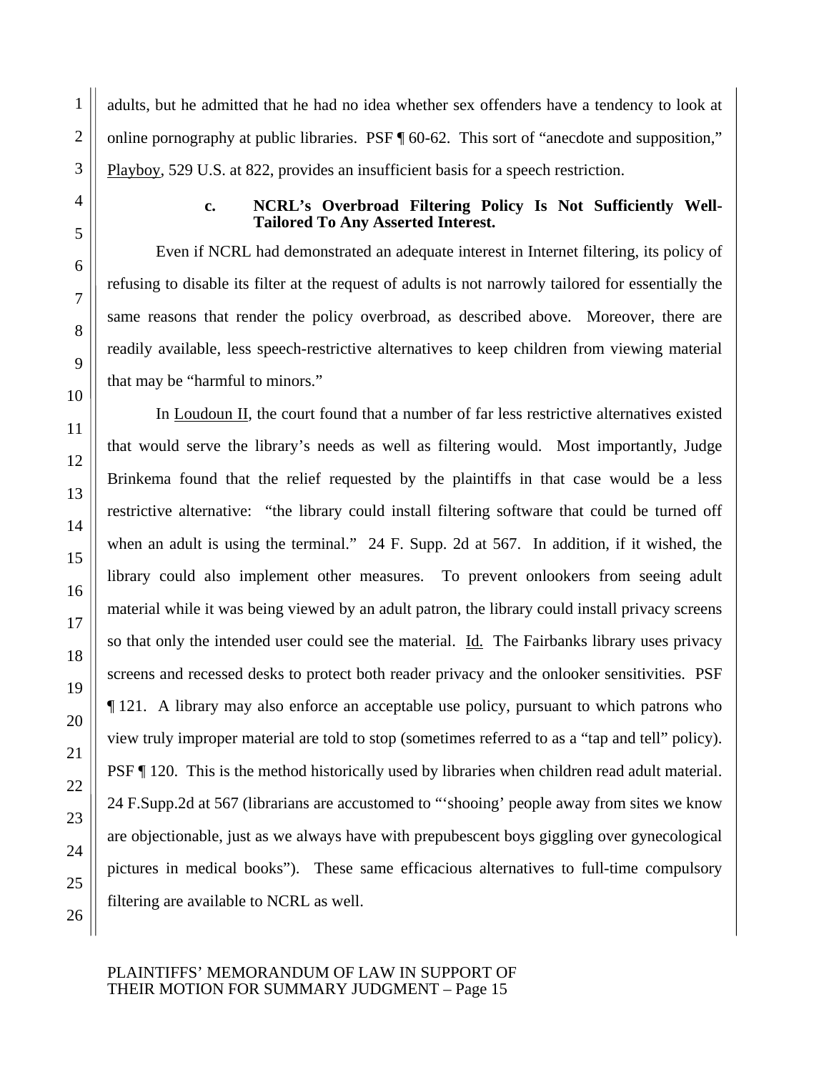adults, but he admitted that he had no idea whether sex offenders have a tendency to look at online pornography at public libraries. PSF ¶ 60-62. This sort of "anecdote and supposition," Playboy, 529 U.S. at 822, provides an insufficient basis for a speech restriction.

#### **c. NCRL's Overbroad Filtering Policy Is Not Sufficiently Well-Tailored To Any Asserted Interest.**

Even if NCRL had demonstrated an adequate interest in Internet filtering, its policy of refusing to disable its filter at the request of adults is not narrowly tailored for essentially the same reasons that render the policy overbroad, as described above. Moreover, there are readily available, less speech-restrictive alternatives to keep children from viewing material that may be "harmful to minors."

In Loudoun II, the court found that a number of far less restrictive alternatives existed that would serve the library's needs as well as filtering would. Most importantly, Judge Brinkema found that the relief requested by the plaintiffs in that case would be a less restrictive alternative: "the library could install filtering software that could be turned off when an adult is using the terminal." 24 F. Supp. 2d at 567. In addition, if it wished, the library could also implement other measures. To prevent onlookers from seeing adult material while it was being viewed by an adult patron, the library could install privacy screens so that only the intended user could see the material. Id. The Fairbanks library uses privacy screens and recessed desks to protect both reader privacy and the onlooker sensitivities. PSF ¶ 121. A library may also enforce an acceptable use policy, pursuant to which patrons who view truly improper material are told to stop (sometimes referred to as a "tap and tell" policy). PSF ¶ 120. This is the method historically used by libraries when children read adult material. 24 F.Supp.2d at 567 (librarians are accustomed to "'shooing' people away from sites we know are objectionable, just as we always have with prepubescent boys giggling over gynecological pictures in medical books"). These same efficacious alternatives to full-time compulsory filtering are available to NCRL as well.

#### PLAINTIFFS' MEMORANDUM OF LAW IN SUPPORT OF THEIR MOTION FOR SUMMARY JUDGMENT – Page 15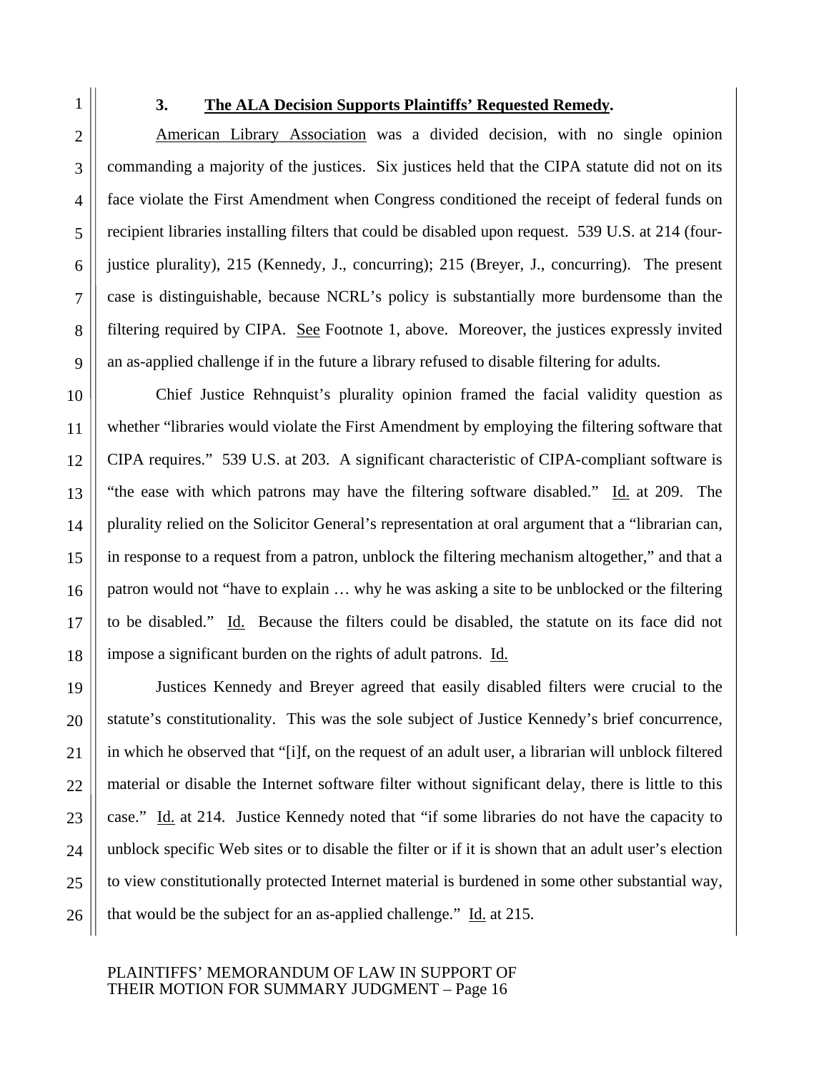1

2

3

4

#### **3. The ALA Decision Supports Plaintiffs' Requested Remedy.**

American Library Association was a divided decision, with no single opinion commanding a majority of the justices. Six justices held that the CIPA statute did not on its face violate the First Amendment when Congress conditioned the receipt of federal funds on recipient libraries installing filters that could be disabled upon request. 539 U.S. at 214 (fourjustice plurality), 215 (Kennedy, J., concurring); 215 (Breyer, J., concurring). The present case is distinguishable, because NCRL's policy is substantially more burdensome than the filtering required by CIPA. See Footnote 1, above. Moreover, the justices expressly invited an as-applied challenge if in the future a library refused to disable filtering for adults.

Chief Justice Rehnquist's plurality opinion framed the facial validity question as whether "libraries would violate the First Amendment by employing the filtering software that CIPA requires." 539 U.S. at 203. A significant characteristic of CIPA-compliant software is "the ease with which patrons may have the filtering software disabled." Id. at 209. The plurality relied on the Solicitor General's representation at oral argument that a "librarian can, in response to a request from a patron, unblock the filtering mechanism altogether," and that a patron would not "have to explain … why he was asking a site to be unblocked or the filtering to be disabled." Id. Because the filters could be disabled, the statute on its face did not impose a significant burden on the rights of adult patrons. Id.

Justices Kennedy and Breyer agreed that easily disabled filters were crucial to the statute's constitutionality. This was the sole subject of Justice Kennedy's brief concurrence, in which he observed that "[i]f, on the request of an adult user, a librarian will unblock filtered material or disable the Internet software filter without significant delay, there is little to this case." Id. at 214. Justice Kennedy noted that "if some libraries do not have the capacity to unblock specific Web sites or to disable the filter or if it is shown that an adult user's election to view constitutionally protected Internet material is burdened in some other substantial way, that would be the subject for an as-applied challenge." Id. at 215.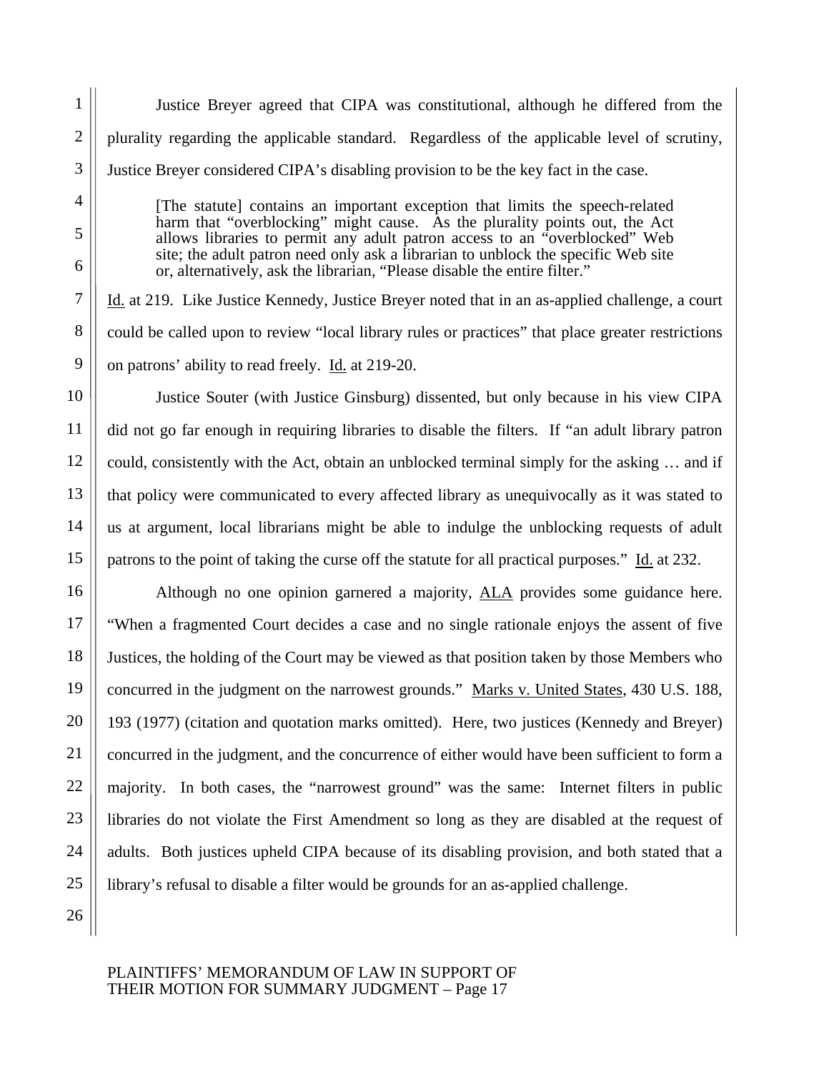Justice Breyer agreed that CIPA was constitutional, although he differed from the plurality regarding the applicable standard. Regardless of the applicable level of scrutiny, Justice Breyer considered CIPA's disabling provision to be the key fact in the case.

[The statute] contains an important exception that limits the speech-related harm that "overblocking" might cause. As the plurality points out, the Act allows libraries to permit any adult patron access to an "overblocked" Web site; the adult patron need only ask a librarian to unblock the specific Web site or, alternatively, ask the librarian, "Please disable the entire filter."

Id. at 219. Like Justice Kennedy, Justice Breyer noted that in an as-applied challenge, a court could be called upon to review "local library rules or practices" that place greater restrictions on patrons' ability to read freely. Id. at 219-20.

Justice Souter (with Justice Ginsburg) dissented, but only because in his view CIPA did not go far enough in requiring libraries to disable the filters. If "an adult library patron could, consistently with the Act, obtain an unblocked terminal simply for the asking … and if that policy were communicated to every affected library as unequivocally as it was stated to us at argument, local librarians might be able to indulge the unblocking requests of adult patrons to the point of taking the curse off the statute for all practical purposes." Id. at 232.

Although no one opinion garnered a majority, ALA provides some guidance here. "When a fragmented Court decides a case and no single rationale enjoys the assent of five Justices, the holding of the Court may be viewed as that position taken by those Members who concurred in the judgment on the narrowest grounds." Marks v. United States, 430 U.S. 188, 193 (1977) (citation and quotation marks omitted). Here, two justices (Kennedy and Breyer) concurred in the judgment, and the concurrence of either would have been sufficient to form a majority. In both cases, the "narrowest ground" was the same: Internet filters in public libraries do not violate the First Amendment so long as they are disabled at the request of adults. Both justices upheld CIPA because of its disabling provision, and both stated that a library's refusal to disable a filter would be grounds for an as-applied challenge.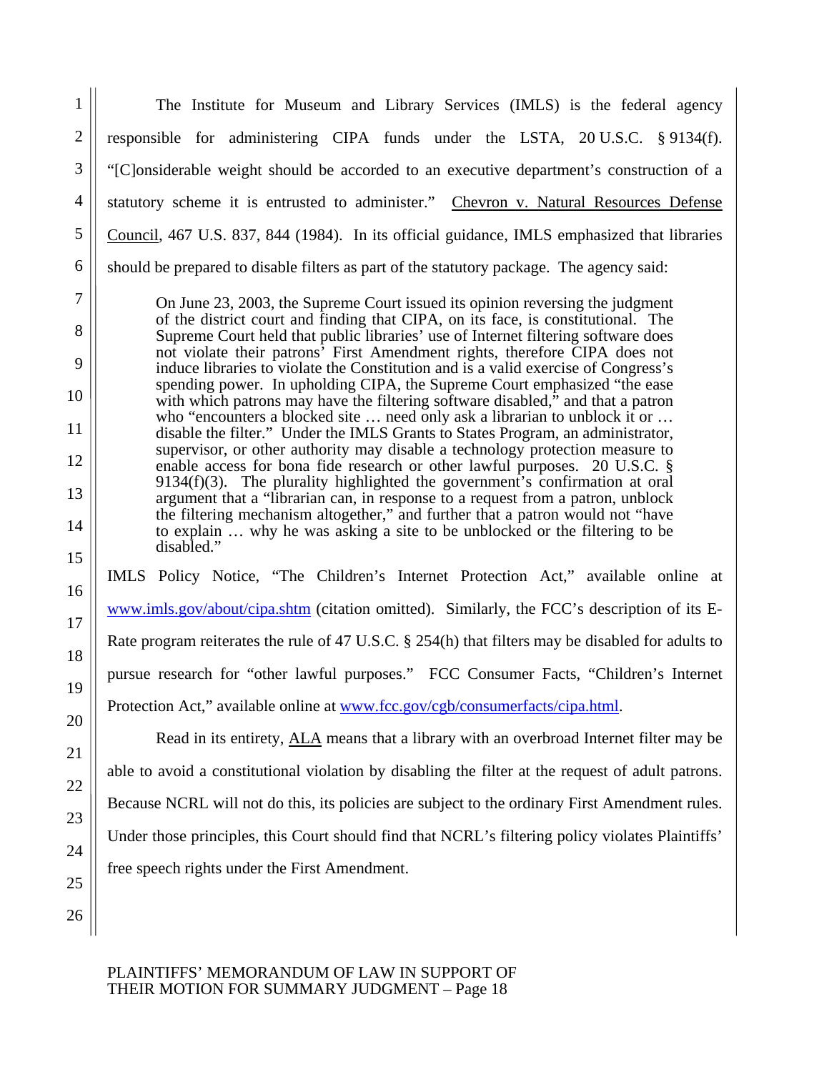The Institute for Museum and Library Services (IMLS) is the federal agency responsible for administering CIPA funds under the LSTA, 20 U.S.C. § 9134(f). "[C]onsiderable weight should be accorded to an executive department's construction of a statutory scheme it is entrusted to administer." Chevron v. Natural Resources Defense Council, 467 U.S. 837, 844 (1984). In its official guidance, IMLS emphasized that libraries should be prepared to disable filters as part of the statutory package. The agency said: On June 23, 2003, the Supreme Court issued its opinion reversing the judgment of the district court and finding that CIPA, on its face, is constitutional. The Supreme Court held that public libraries' use of Internet filtering software does

not violate their patrons' First Amendment rights, therefore CIPA does not induce libraries to violate the Constitution and is a valid exercise of Congress's spending power. In upholding CIPA, the Supreme Court emphasized "the ease with which patrons may have the filtering software disabled," and that a patron who "encounters a blocked site ... need only ask a librarian to unblock it or ... disable the filter." Under the IMLS Grants to States Program, an administrator, supervisor, or other authority may disable a technology protection measure to enable access for bona fide research or other lawful purposes. 20 U.S.C. § 9134(f)(3). The plurality highlighted the government's confirmation at oral argument that a "librarian can, in response to a request from a patron, unblock the filtering mechanism altogether," and further that a patron would not "have to explain … why he was asking a site to be unblocked or the filtering to be disabled."

IMLS Policy Notice, "The Children's Internet Protection Act," available online at www.imls.gov/about/cipa.shtm (citation omitted). Similarly, the FCC's description of its E-Rate program reiterates the rule of 47 U.S.C. § 254(h) that filters may be disabled for adults to pursue research for "other lawful purposes." FCC Consumer Facts, "Children's Internet Protection Act," available online at www.fcc.gov/cgb/consumerfacts/cipa.html.

Read in its entirety, ALA means that a library with an overbroad Internet filter may be able to avoid a constitutional violation by disabling the filter at the request of adult patrons. Because NCRL will not do this, its policies are subject to the ordinary First Amendment rules. Under those principles, this Court should find that NCRL's filtering policy violates Plaintiffs' free speech rights under the First Amendment.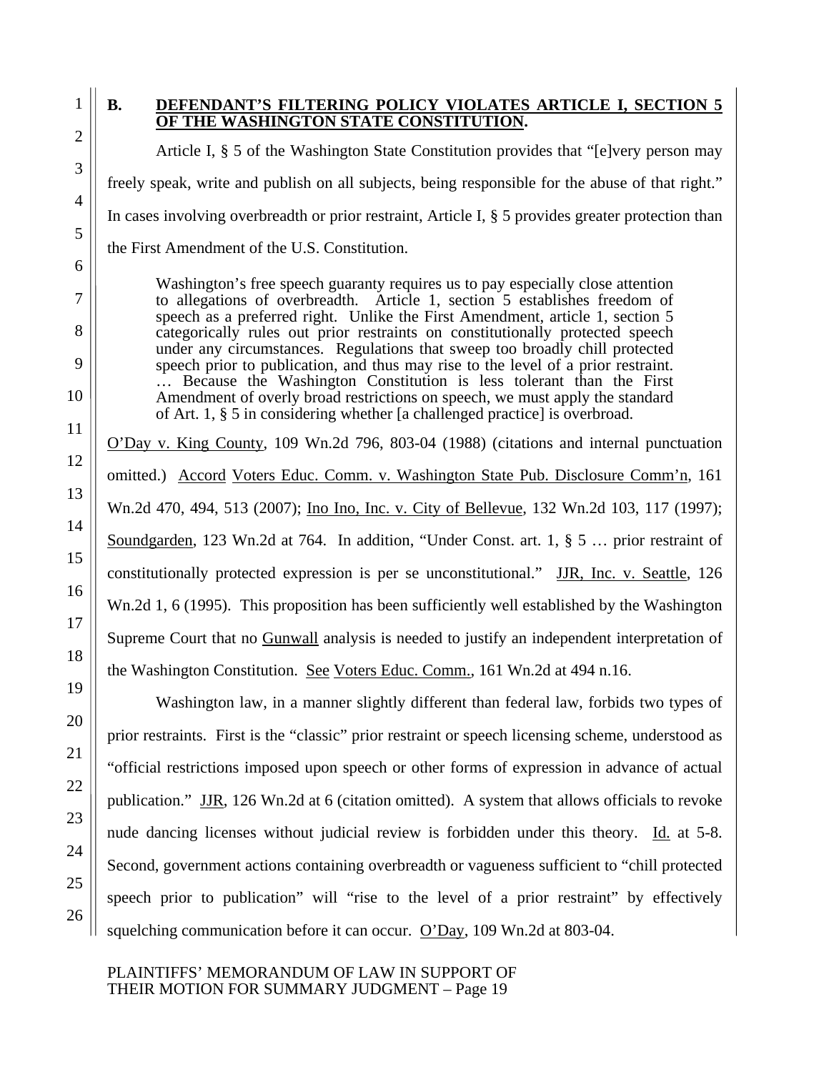$1 \parallel B$ .

#### **. DEFENDANT'S FILTERING POLICY VIOLATES ARTICLE I, SECTION 5 OF THE WASHINGTON STATE CONSTITUTION.**

Article I, § 5 of the Washington State Constitution provides that "[e]very person may freely speak, write and publish on all subjects, being responsible for the abuse of that right." In cases involving overbreadth or prior restraint, Article I, § 5 provides greater protection than the First Amendment of the U.S. Constitution.

Washington's free speech guaranty requires us to pay especially close attention to allegations of overbreadth. Article 1, section 5 establishes freedom of speech as a preferred right. Unlike the First Amendment, article 1, section 5 categorically rules out prior restraints on constitutionally protected speech under any circumstances. Regulations that sweep too broadly chill protected speech prior to publication, and thus may rise to the level of a prior restraint. … Because the Washington Constitution is less tolerant than the First Amendment of overly broad restrictions on speech, we must apply the standard of Art. 1, § 5 in considering whether [a challenged practice] is overbroad.

O'Day v. King County, 109 Wn.2d 796, 803-04 (1988) (citations and internal punctuation omitted.) Accord Voters Educ. Comm. v. Washington State Pub. Disclosure Comm'n, 161 Wn.2d 470, 494, 513 (2007); Ino Ino, Inc. v. City of Bellevue, 132 Wn.2d 103, 117 (1997); Soundgarden, 123 Wn.2d at 764. In addition, "Under Const. art. 1, § 5 … prior restraint of constitutionally protected expression is per se unconstitutional." JJR, Inc. v. Seattle, 126 Wn.2d 1, 6 (1995). This proposition has been sufficiently well established by the Washington Supreme Court that no Gunwall analysis is needed to justify an independent interpretation of the Washington Constitution. See Voters Educ. Comm., 161 Wn.2d at 494 n.16.

Washington law, in a manner slightly different than federal law, forbids two types of prior restraints. First is the "classic" prior restraint or speech licensing scheme, understood as "official restrictions imposed upon speech or other forms of expression in advance of actual publication." JJR, 126 Wn.2d at 6 (citation omitted). A system that allows officials to revoke nude dancing licenses without judicial review is forbidden under this theory. Id. at 5-8. Second, government actions containing overbreadth or vagueness sufficient to "chill protected speech prior to publication" will "rise to the level of a prior restraint" by effectively squelching communication before it can occur. O'Day, 109 Wn.2d at 803-04.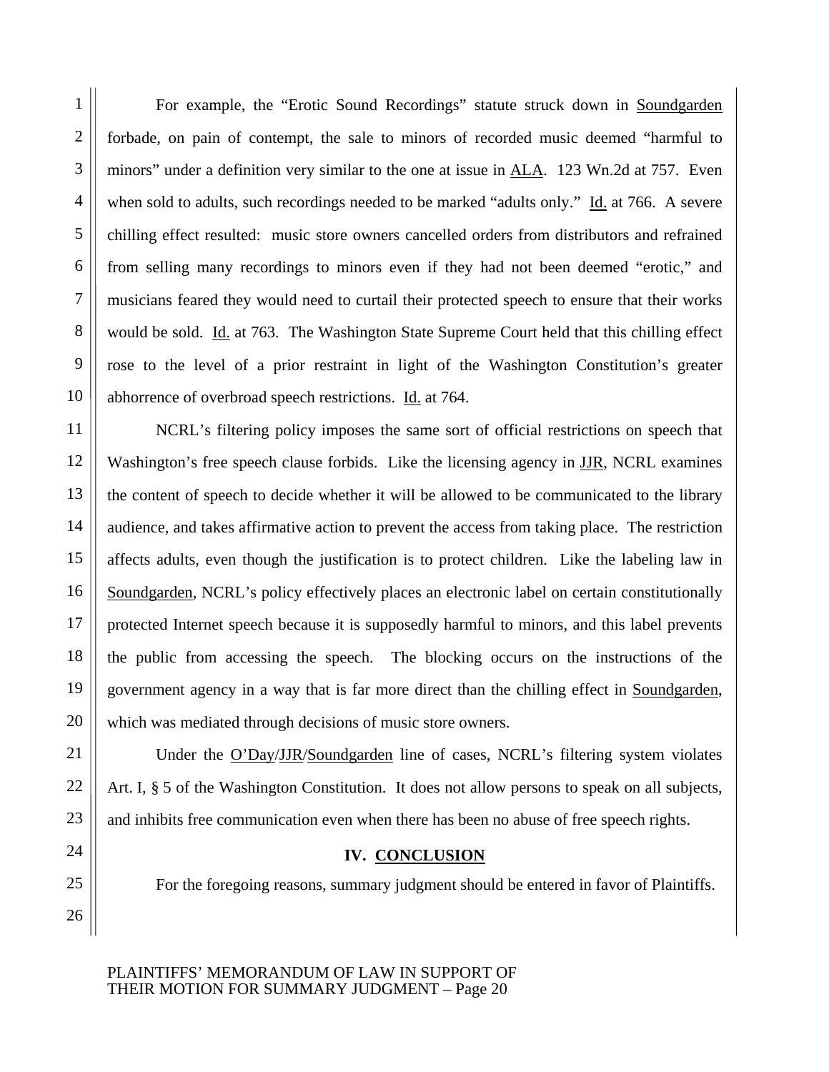For example, the "Erotic Sound Recordings" statute struck down in Soundgarden forbade, on pain of contempt, the sale to minors of recorded music deemed "harmful to minors" under a definition very similar to the one at issue in ALA. 123 Wn.2d at 757. Even when sold to adults, such recordings needed to be marked "adults only." Id. at 766. A severe chilling effect resulted: music store owners cancelled orders from distributors and refrained from selling many recordings to minors even if they had not been deemed "erotic," and musicians feared they would need to curtail their protected speech to ensure that their works would be sold. <u>Id.</u> at 763. The Washington State Supreme Court held that this chilling effect rose to the level of a prior restraint in light of the Washington Constitution's greater abhorrence of overbroad speech restrictions. Id. at 764.

NCRL's filtering policy imposes the same sort of official restrictions on speech that Washington's free speech clause forbids. Like the licensing agency in **JJR**, NCRL examines the content of speech to decide whether it will be allowed to be communicated to the library audience, and takes affirmative action to prevent the access from taking place. The restriction affects adults, even though the justification is to protect children. Like the labeling law in Soundgarden, NCRL's policy effectively places an electronic label on certain constitutionally protected Internet speech because it is supposedly harmful to minors, and this label prevents the public from accessing the speech. The blocking occurs on the instructions of the government agency in a way that is far more direct than the chilling effect in Soundgarden, which was mediated through decisions of music store owners.

Under the O'Day/JJR/Soundgarden line of cases, NCRL's filtering system violates Art. I, § 5 of the Washington Constitution. It does not allow persons to speak on all subjects, and inhibits free communication even when there has been no abuse of free speech rights.

### **IV. CONCLUSION**

For the foregoing reasons, summary judgment should be entered in favor of Plaintiffs.

PLAINTIFFS' MEMORANDUM OF LAW IN SUPPORT OF THEIR MOTION FOR SUMMARY JUDGMENT – Page 20